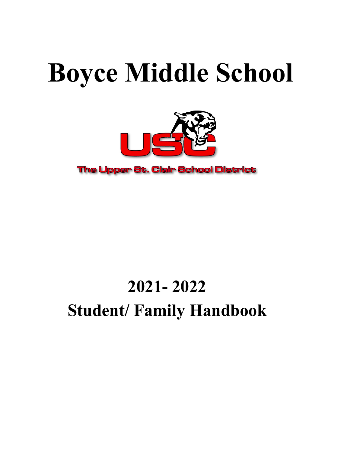# **Boyce Middle School**



**The Upper St. Clair School District** 

## **2021- 2022 Student/ Family Handbook**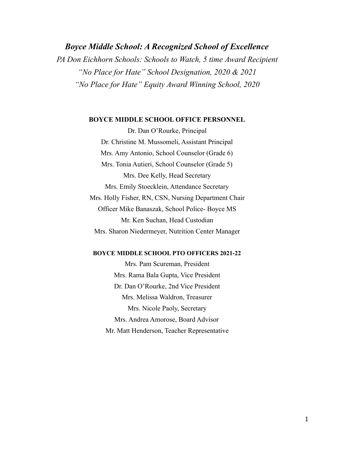*Boyce Middle School: A Recognized School of Excellence PA Don Eichhorn Schools: Schools to Watch, 5 time Award Recipient "No Place for Hate" School Designation, 2020 & 2021 "No Place for Hate" Equity Award Winning School, 2020*

#### **BOYCE MIDDLE SCHOOL OFFICE PERSONNEL**

Dr. Dan O'Rourke, Principal Dr. Christine M. Mussomeli, Assistant Principal Mrs. Amy Antonio, School Counselor (Grade 6) Mrs. Tonia Autieri, School Counselor (Grade 5) Mrs. Dee Kelly, Head Secretary Mrs. Emily Stoecklein, Attendance Secretary Mrs. Holly Fisher, RN, CSN, Nursing Department Chair Officer Mike Banaszak, School Police- Boyce MS Mr. Ken Suchan, Head Custodian Mrs. Sharon Niedermeyer, Nutrition Center Manager

#### **BOYCE MIDDLE SCHOOL PTO OFFICERS 2021-22**

Mrs. Pam Scureman, President Mrs. Rama Bala Gupta, Vice President Dr. Dan O'Rourke, 2nd Vice President Mrs. Melissa Waldron, Treasurer Mrs. Nicole Paoly, Secretary Mrs. Andrea Amorose, Board Advisor Mr. Matt Henderson, Teacher Representative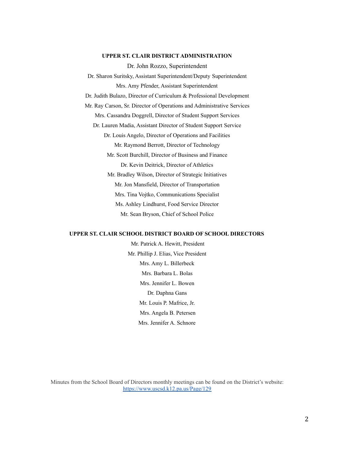#### **UPPER ST. CLAIR DISTRICT ADMINISTRATION**

Dr. John Rozzo, Superintendent Dr. Sharon Suritsky, Assistant Superintendent/Deputy Superintendent Mrs. Amy Pfender, Assistant Superintendent Dr. Judith Bulazo, Director of Curriculum & Professional Development Mr. Ray Carson, Sr. Director of Operations and Administrative Services Mrs. Cassandra Doggrell, Director of Student Support Services Dr. Lauren Madia, Assistant Director of Student Support Service Dr. Louis Angelo, Director of Operations and Facilities Mr. Raymond Berrott, Director of Technology Mr. Scott Burchill, Director of Business and Finance Dr. Kevin Deitrick, Director of Athletics Mr. Bradley Wilson, Director of Strategic Initiatives Mr. Jon Mansfield, Director of Transportation Mrs. Tina Vojtko, Communications Specialist Ms. Ashley Lindhurst, Food Service Director Mr. Sean Bryson, Chief of School Police

#### **UPPER ST. CLAIR SCHOOL DISTRICT BOARD OF SCHOOL DIRECTORS**

Mr. Patrick A. Hewitt, President Mr. Phillip J. Elias, Vice President Mrs. Amy L. Billerbeck Mrs. Barbara L. Bolas Mrs. Jennifer L. Bowen Dr. Daphna Gans Mr. Louis P. Mafrice, Jr. Mrs. Angela B. Petersen Mrs. Jennifer A. Schnore

Minutes from the School Board of Directors monthly meetings can be found on the District's website: <https://www.uscsd.k12.pa.us/Page/129>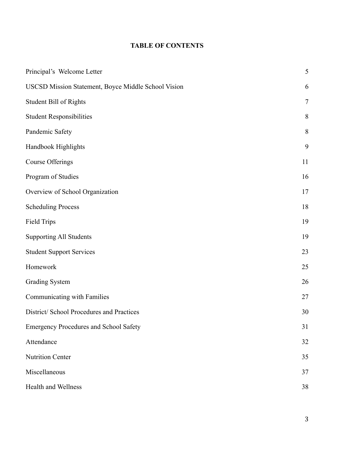## **TABLE OF CONTENTS**

| Principal's Welcome Letter                          | 5              |
|-----------------------------------------------------|----------------|
| USCSD Mission Statement, Boyce Middle School Vision | 6              |
| Student Bill of Rights                              | $\overline{7}$ |
| <b>Student Responsibilities</b>                     | 8              |
| Pandemic Safety                                     | 8              |
| Handbook Highlights                                 | 9              |
| <b>Course Offerings</b>                             | 11             |
| Program of Studies                                  | 16             |
| Overview of School Organization                     | 17             |
| <b>Scheduling Process</b>                           | 18             |
| <b>Field Trips</b>                                  | 19             |
| <b>Supporting All Students</b>                      | 19             |
| <b>Student Support Services</b>                     | 23             |
| Homework                                            | 25             |
| <b>Grading System</b>                               | 26             |
| Communicating with Families                         | 27             |
| District/ School Procedures and Practices           | 30             |
| <b>Emergency Procedures and School Safety</b>       | 31             |
| Attendance                                          | 32             |
| <b>Nutrition Center</b>                             | 35             |
| Miscellaneous                                       | 37             |
| Health and Wellness                                 | 38             |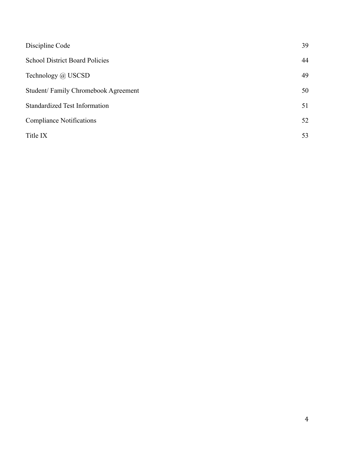| 39 |
|----|
| 44 |
| 49 |
| 50 |
| 51 |
| 52 |
| 53 |
|    |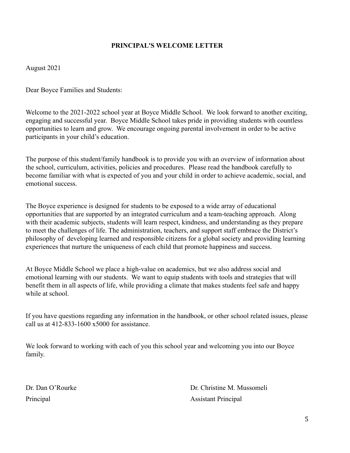## **PRINCIPAL'S WELCOME LETTER**

August 2021

Dear Boyce Families and Students:

Welcome to the 2021-2022 school year at Boyce Middle School. We look forward to another exciting, engaging and successful year. Boyce Middle School takes pride in providing students with countless opportunities to learn and grow. We encourage ongoing parental involvement in order to be active participants in your child's education.

The purpose of this student/family handbook is to provide you with an overview of information about the school, curriculum, activities, policies and procedures. Please read the handbook carefully to become familiar with what is expected of you and your child in order to achieve academic, social, and emotional success.

The Boyce experience is designed for students to be exposed to a wide array of educational opportunities that are supported by an integrated curriculum and a team-teaching approach. Along with their academic subjects, students will learn respect, kindness, and understanding as they prepare to meet the challenges of life. The administration, teachers, and support staff embrace the District's philosophy of developing learned and responsible citizens for a global society and providing learning experiences that nurture the uniqueness of each child that promote happiness and success.

At Boyce Middle School we place a high-value on academics, but we also address social and emotional learning with our students. We want to equip students with tools and strategies that will benefit them in all aspects of life, while providing a climate that makes students feel safe and happy while at school.

If you have questions regarding any information in the handbook, or other school related issues, please call us at 412-833-1600 x5000 for assistance.

We look forward to working with each of you this school year and welcoming you into our Boyce family.

Dr. Dan O'Rourke Dr. Christine M. Mussomeli Principal Assistant Principal Assistant Principal Assistant Principal Assistant Principal Assistant Principal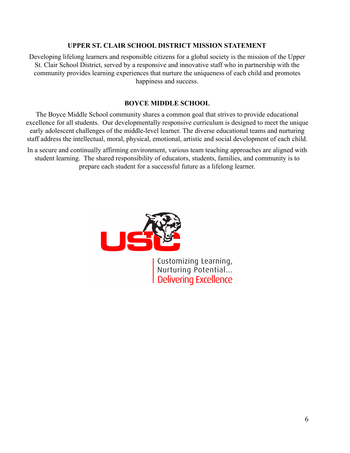#### **UPPER ST. CLAIR SCHOOL DISTRICT MISSION STATEMENT**

Developing lifelong learners and responsible citizens for a global society is the mission of the Upper St. Clair School District, served by a responsive and innovative staff who in partnership with the community provides learning experiences that nurture the uniqueness of each child and promotes happiness and success.

#### **BOYCE MIDDLE SCHOOL**

The Boyce Middle School community shares a common goal that strives to provide educational excellence for all students. Our developmentally responsive curriculum is designed to meet the unique early adolescent challenges of the middle-level learner. The diverse educational teams and nurturing staff address the intellectual, moral, physical, emotional, artistic and social development of each child.

In a secure and continually affirming environment, various team teaching approaches are aligned with student learning. The shared responsibility of educators, students, families, and community is to prepare each student for a successful future as a lifelong learner.



Customizing Learning,<br>Nurturing Potential...<br>Delivering Excellence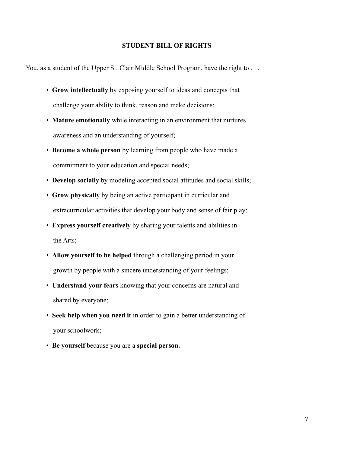#### **STUDENT BILL OF RIGHTS**

You, as a student of the Upper St. Clair Middle School Program, have the right to . . .

- **Grow intellectually** by exposing yourself to ideas and concepts that challenge your ability to think, reason and make decisions;
- **Mature emotionally** while interacting in an environment that nurtures awareness and an understanding of yourself;
- **Become a whole person** by learning from people who have made a commitment to your education and special needs;
- **Develop socially** by modeling accepted social attitudes and social skills;
- **Grow physically** by being an active participant in curricular and extracurricular activities that develop your body and sense of fair play;
- **Express yourself creatively** by sharing your talents and abilities in the Arts;
- **Allow yourself to be helped** through a challenging period in your growth by people with a sincere understanding of your feelings;
- **Understand your fears** knowing that your concerns are natural and shared by everyone;
- **Seek help when you need it** in order to gain a better understanding of your schoolwork;
- **Be yourself** because you are a **special person.**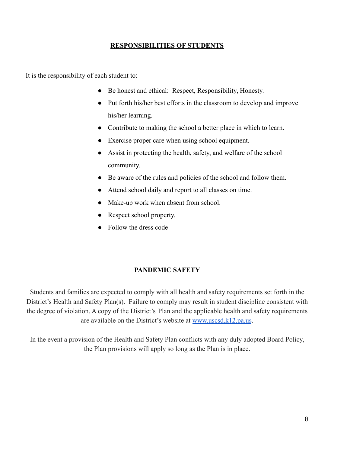## **RESPONSIBILITIES OF STUDENTS**

It is the responsibility of each student to:

- Be honest and ethical: Respect, Responsibility, Honesty.
- Put forth his/her best efforts in the classroom to develop and improve his/her learning.
- Contribute to making the school a better place in which to learn.
- Exercise proper care when using school equipment.
- Assist in protecting the health, safety, and welfare of the school community.
- Be aware of the rules and policies of the school and follow them.
- Attend school daily and report to all classes on time.
- Make-up work when absent from school.
- Respect school property.
- Follow the dress code

#### **PANDEMIC SAFETY**

Students and families are expected to comply with all health and safety requirements set forth in the District's Health and Safety Plan(s). Failure to comply may result in student discipline consistent with the degree of violation. A copy of the District's Plan and the applicable health and safety requirements are available on the District's website at [www.uscsd.k12.pa.us](http://www.uscsd.k12.pa.us).

In the event a provision of the Health and Safety Plan conflicts with any duly adopted Board Policy, the Plan provisions will apply so long as the Plan is in place.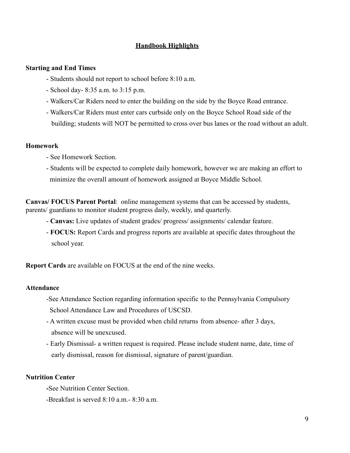## **Handbook Highlights**

#### **Starting and End Times**

- Students should not report to school before 8:10 a.m.
- School day- 8:35 a.m. to 3:15 p.m.
- Walkers/Car Riders need to enter the building on the side by the Boyce Road entrance.
- Walkers/Car Riders must enter cars curbside only on the Boyce School Road side of the building; students will NOT be permitted to cross over bus lanes or the road without an adult.

#### **Homework**

- See Homework Section.
- Students will be expected to complete daily homework, however we are making an effort to minimize the overall amount of homework assigned at Boyce Middle School.

**Canvas/ FOCUS Parent Portal**: online management systems that can be accessed by students, parents/ guardians to monitor student progress daily, weekly, and quarterly.

- **Canvas:** Live updates of student grades/ progress/ assignments/ calendar feature.
- **FOCUS:** Report Cards and progress reports are available at specific dates throughout the school year.

**Report Cards** are available on FOCUS at the end of the nine weeks.

#### **Attendance**

- -See Attendance Section regarding information specific to the Pennsylvania Compulsory School Attendance Law and Procedures of USCSD.
- A written excuse must be provided when child returns from absence- after 3 days, absence will be unexcused.
- Early Dismissal- a written request is required. Please include student name, date, time of early dismissal, reason for dismissal, signature of parent/guardian.

#### **Nutrition Center**

**-**See Nutrition Center Section.

-Breakfast is served 8:10 a.m.- 8:30 a.m.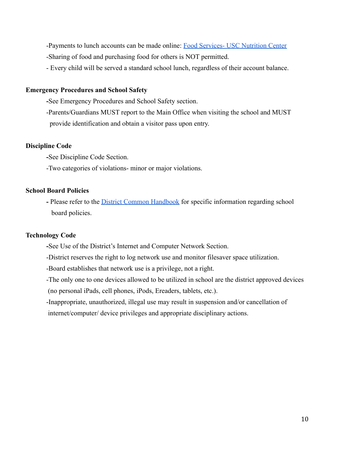-Payments to lunch accounts can be made online: [Food Services- USC Nutrition Center](https://www.uscsd.k12.pa.us/Domain/7) -Sharing of food and purchasing food for others is NOT permitted.

- Every child will be served a standard school lunch, regardless of their account balance.

## **Emergency Procedures and School Safety**

**-**See Emergency Procedures and School Safety section.

-Parents/Guardians MUST report to the Main Office when visiting the school and MUST provide identification and obtain a visitor pass upon entry.

#### **Discipline Code**

**-**See Discipline Code Section.

-Two categories of violations- minor or major violations.

## **School Board Policies**

**-** Please refer to the [District Common](https://www.uscsd.k12.pa.us/cms/lib/PA01000033/Centricity/Domain/19/21-22DistrictHandbook.pdf) Handbook for specific information regarding school board policies.

## **Technology Code**

**-**See Use of the District's Internet and Computer Network Section.

-District reserves the right to log network use and monitor filesaver space utilization.

-Board establishes that network use is a privilege, not a right.

-The only one to one devices allowed to be utilized in school are the district approved devices (no personal iPads, cell phones, iPods, Ereaders, tablets, etc.).

-Inappropriate, unauthorized, illegal use may result in suspension and/or cancellation of internet/computer/ device privileges and appropriate disciplinary actions.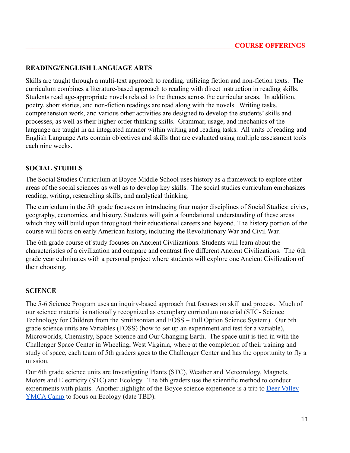## **READING/ENGLISH LANGUAGE ARTS**

Skills are taught through a multi-text approach to reading, utilizing fiction and non-fiction texts. The curriculum combines a literature-based approach to reading with direct instruction in reading skills. Students read age-appropriate novels related to the themes across the curricular areas. In addition, poetry, short stories, and non-fiction readings are read along with the novels. Writing tasks, comprehension work, and various other activities are designed to develop the students' skills and processes, as well as their higher-order thinking skills. Grammar, usage, and mechanics of the language are taught in an integrated manner within writing and reading tasks. All units of reading and English Language Arts contain objectives and skills that are evaluated using multiple assessment tools each nine weeks.

#### **SOCIAL STUDIES**

The Social Studies Curriculum at Boyce Middle School uses history as a framework to explore other areas of the social sciences as well as to develop key skills. The social studies curriculum emphasizes reading, writing, researching skills, and analytical thinking.

The curriculum in the 5th grade focuses on introducing four major disciplines of Social Studies: civics, geography, economics, and history. Students will gain a foundational understanding of these areas which they will build upon throughout their educational careers and beyond. The history portion of the course will focus on early American history, including the Revolutionary War and Civil War.

The 6th grade course of study focuses on Ancient Civilizations. Students will learn about the characteristics of a civilization and compare and contrast five different Ancient Civilizations. The 6th grade year culminates with a personal project where students will explore one Ancient Civilization of their choosing.

#### **SCIENCE**

The 5-6 Science Program uses an inquiry-based approach that focuses on skill and process. Much of our science material is nationally recognized as exemplary curriculum material (STC- Science Technology for Children from the Smithsonian and FOSS – Full Option Science System). Our 5th grade science units are Variables (FOSS) (how to set up an experiment and test for a variable), Microworlds, Chemistry, Space Science and Our Changing Earth. The space unit is tied in with the Challenger Space Center in Wheeling, West Virginia, where at the completion of their training and study of space, each team of 5th graders goes to the Challenger Center and has the opportunity to fly a mission.

Our 6th grade science units are Investigating Plants (STC), Weather and Meteorology, Magnets, Motors and Electricity (STC) and Ecology. The 6th graders use the scientific method to conduct experiments with plants. Another highlight of the Boyce science experience is a trip to [Deer Valley](https://www.uscsd.k12.pa.us/Page/2241) [YMCA Camp](https://www.uscsd.k12.pa.us/Page/2241) to focus on Ecology (date TBD).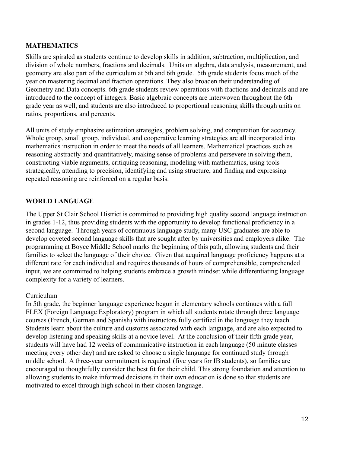## **MATHEMATICS**

Skills are spiraled as students continue to develop skills in addition, subtraction, multiplication, and division of whole numbers, fractions and decimals. Units on algebra, data analysis, measurement, and geometry are also part of the curriculum at 5th and 6th grade. 5th grade students focus much of the year on mastering decimal and fraction operations. They also broaden their understanding of Geometry and Data concepts. 6th grade students review operations with fractions and decimals and are introduced to the concept of integers. Basic algebraic concepts are interwoven throughout the 6th grade year as well, and students are also introduced to proportional reasoning skills through units on ratios, proportions, and percents.

All units of study emphasize estimation strategies, problem solving, and computation for accuracy. Whole group, small group, individual, and cooperative learning strategies are all incorporated into mathematics instruction in order to meet the needs of all learners. Mathematical practices such as reasoning abstractly and quantitatively, making sense of problems and persevere in solving them, constructing viable arguments, critiquing reasoning, modeling with mathematics, using tools strategically, attending to precision, identifying and using structure, and finding and expressing repeated reasoning are reinforced on a regular basis.

#### **WORLD LANGUAGE**

The Upper St Clair School District is committed to providing high quality second language instruction in grades 1-12, thus providing students with the opportunity to develop functional proficiency in a second language. Through years of continuous language study, many USC graduates are able to develop coveted second language skills that are sought after by universities and employers alike. The programming at Boyce Middle School marks the beginning of this path, allowing students and their families to select the language of their choice. Given that acquired language proficiency happens at a different rate for each individual and requires thousands of hours of comprehensible, comprehended input, we are committed to helping students embrace a growth mindset while differentiating language complexity for a variety of learners.

#### Curriculum

In 5th grade, the beginner language experience begun in elementary schools continues with a full FLEX (Foreign Language Exploratory) program in which all students rotate through three language courses (French, German and Spanish) with instructors fully certified in the language they teach. Students learn about the culture and customs associated with each language, and are also expected to develop listening and speaking skills at a novice level. At the conclusion of their fifth grade year, students will have had 12 weeks of communicative instruction in each language (50 minute classes meeting every other day) and are asked to choose a single language for continued study through middle school. A three-year commitment is required (five years for IB students), so families are encouraged to thoughtfully consider the best fit for their child. This strong foundation and attention to allowing students to make informed decisions in their own education is done so that students are motivated to excel through high school in their chosen language.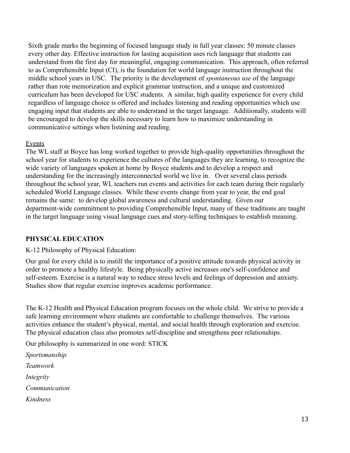Sixth grade marks the beginning of focused language study in full year classes: 50 minute classes every other day. Effective instruction for lasting acquisition uses rich language that students can understand from the first day for meaningful, engaging communication. This approach, often referred to as Comprehensible Input (CI), is the foundation for world language instruction throughout the middle school years in USC. The priority is the development of *spontaneous use* of the language rather than rote memorization and explicit grammar instruction, and a unique and customized curriculum has been developed for USC students. A similar, high quality experience for every child regardless of language choice is offered and includes listening and reading opportunities which use engaging input that students are able to understand in the target language. Additionally, students will be encouraged to develop the skills necessary to learn how to maximize understanding in communicative settings when listening and reading.

#### **Events**

The WL staff at Boyce has long worked together to provide high-quality opportunities throughout the school year for students to experience the cultures of the languages they are learning, to recognize the wide variety of languages spoken at home by Boyce students and to develop a respect and understanding for the increasingly interconnected world we live in. Over several class periods throughout the school year, WL teachers run events and activities for each team during their regularly scheduled World Language classes. While these events change from year to year, the end goal remains the same: to develop global awareness and cultural understanding. Given our department-wide commitment to providing Comprehensible Input, many of these traditions are taught in the target language using visual language cues and story-telling techniques to establish meaning.

## **PHYSICAL EDUCATION**

K-12 Philosophy of Physical Education:

Our goal for every child is to instill the importance of a positive attitude towards physical activity in order to promote a healthy lifestyle. Being physically active increases one's self-confidence and self-esteem. Exercise is a natural way to reduce stress levels and feelings of depression and anxiety. Studies show that regular exercise improves academic performance.

The K-12 Health and Physical Education program focuses on the whole child. We strive to provide a safe learning environment where students are comfortable to challenge themselves. The various activities enhance the student's physical, mental, and social health through exploration and exercise. The physical education class also promotes self-discipline and strengthens peer relationships.

Our philosophy is summarized in one word: STICK

*Sportsmanship Teamwork Integrity Communication Kindness*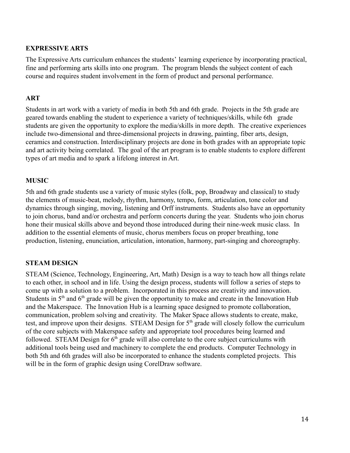#### **EXPRESSIVE ARTS**

The Expressive Arts curriculum enhances the students' learning experience by incorporating practical, fine and performing arts skills into one program. The program blends the subject content of each course and requires student involvement in the form of product and personal performance.

#### **ART**

Students in art work with a variety of media in both 5th and 6th grade. Projects in the 5th grade are geared towards enabling the student to experience a variety of techniques/skills, while 6th grade students are given the opportunity to explore the media/skills in more depth. The creative experiences include two-dimensional and three-dimensional projects in drawing, painting, fiber arts, design, ceramics and construction. Interdisciplinary projects are done in both grades with an appropriate topic and art activity being correlated. The goal of the art program is to enable students to explore different types of art media and to spark a lifelong interest in Art.

## **MUSIC**

5th and 6th grade students use a variety of music styles (folk, pop, Broadway and classical) to study the elements of music-beat, melody, rhythm, harmony, tempo, form, articulation, tone color and dynamics through singing, moving, listening and Orff instruments. Students also have an opportunity to join chorus, band and/or orchestra and perform concerts during the year. Students who join chorus hone their musical skills above and beyond those introduced during their nine-week music class. In addition to the essential elements of music, chorus members focus on proper breathing, tone production, listening, enunciation, articulation, intonation, harmony, part-singing and choreography.

## **STEAM DESIGN**

STEAM (Science, Technology, Engineering, Art, Math) Design is a way to teach how all things relate to each other, in school and in life. Using the design process, students will follow a series of steps to come up with a solution to a problem. Incorporated in this process are creativity and innovation. Students in  $5<sup>th</sup>$  and  $6<sup>th</sup>$  grade will be given the opportunity to make and create in the Innovation Hub and the Makerspace. The Innovation Hub is a learning space designed to promote collaboration, communication, problem solving and creativity. The Maker Space allows students to create, make, test, and improve upon their designs. STEAM Design for 5<sup>th</sup> grade will closely follow the curriculum of the core subjects with Makerspace safety and appropriate tool procedures being learned and followed. STEAM Design for  $6<sup>th</sup>$  grade will also correlate to the core subject curriculums with additional tools being used and machinery to complete the end products. Computer Technology in both 5th and 6th grades will also be incorporated to enhance the students completed projects. This will be in the form of graphic design using CorelDraw software.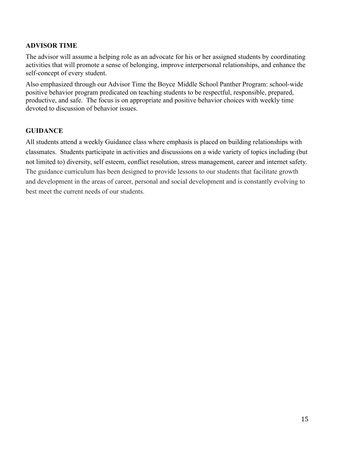## **ADVISOR TIME**

The advisor will assume a helping role as an advocate for his or her assigned students by coordinating activities that will promote a sense of belonging, improve interpersonal relationships, and enhance the self-concept of every student.

Also emphasized through our Advisor Time the Boyce Middle School Panther Program: school-wide positive behavior program predicated on teaching students to be respectful, responsible, prepared, productive, and safe. The focus is on appropriate and positive behavior choices with weekly time devoted to discussion of behavior issues.

## **GUIDANCE**

All students attend a weekly Guidance class where emphasis is placed on building relationships with classmates. Students participate in activities and discussions on a wide variety of topics including (but not limited to) diversity, self esteem, conflict resolution, stress management, career and internet safety. The guidance curriculum has been designed to provide lessons to our students that facilitate growth and development in the areas of career, personal and social development and is constantly evolving to best meet the current needs of our students.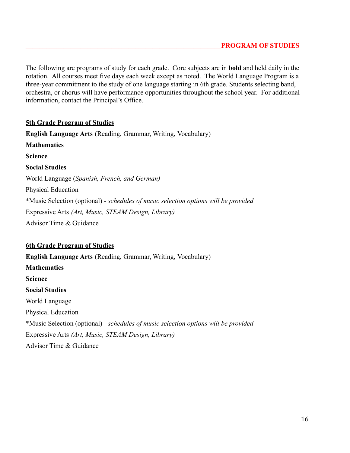The following are programs of study for each grade. Core subjects are in **bold** and held daily in the rotation. All courses meet five days each week except as noted. The World Language Program is a three-year commitment to the study of one language starting in 6th grade. Students selecting band, orchestra, or chorus will have performance opportunities throughout the school year. For additional information, contact the Principal's Office.

#### **5th Grade Program of Studies**

**English Language Arts** (Reading, Grammar, Writing, Vocabulary) **Mathematics Science Social Studies** World Language (*Spanish, French, and German)* Physical Education \*Music Selection (optional) *- schedules of music selection options will be provided* Expressive Arts *(Art, Music, STEAM Design, Library)* Advisor Time & Guidance

#### **6th Grade Program of Studies**

**English Language Arts** (Reading, Grammar, Writing, Vocabulary) **Mathematics Science Social Studies** World Language Physical Education \*Music Selection (optional) *- schedules of music selection options will be provided* Expressive Arts *(Art, Music, STEAM Design, Library)* Advisor Time & Guidance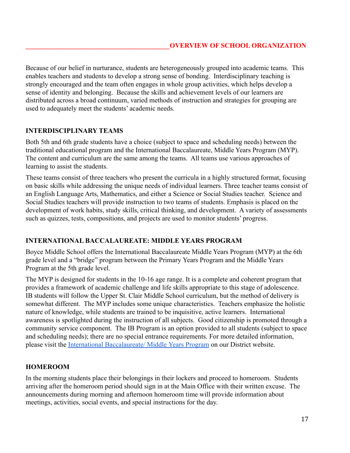Because of our belief in nurturance, students are heterogeneously grouped into academic teams. This enables teachers and students to develop a strong sense of bonding. Interdisciplinary teaching is strongly encouraged and the team often engages in whole group activities, which helps develop a sense of identity and belonging. Because the skills and achievement levels of our learners are distributed across a broad continuum, varied methods of instruction and strategies for grouping are used to adequately meet the students' academic needs.

## **INTERDISCIPLINARY TEAMS**

Both 5th and 6th grade students have a choice (subject to space and scheduling needs) between the traditional educational program and the International Baccalaureate, Middle Years Program (MYP). The content and curriculum are the same among the teams. All teams use various approaches of learning to assist the students.

These teams consist of three teachers who present the curricula in a highly structured format, focusing on basic skills while addressing the unique needs of individual learners. Three teacher teams consist of an English Language Arts, Mathematics, and either a Science or Social Studies teacher. Science and Social Studies teachers will provide instruction to two teams of students. Emphasis is placed on the development of work habits, study skills, critical thinking, and development. A variety of assessments such as quizzes, tests, compositions, and projects are used to monitor students' progress.

## **INTERNATIONAL BACCALAUREATE: MIDDLE YEARS PROGRAM**

Boyce Middle School offers the International Baccalaureate Middle Years Program (MYP) at the 6th grade level and a "bridge" program between the Primary Years Program and the Middle Years Program at the 5th grade level.

The MYP is designed for students in the 10-16 age range. It is a complete and coherent program that provides a framework of academic challenge and life skills appropriate to this stage of adolescence. IB students will follow the Upper St. Clair Middle School curriculum, but the method of delivery is somewhat different. The MYP includes some unique characteristics. Teachers emphasize the holistic nature of knowledge, while students are trained to be inquisitive, active learners. International awareness is spotlighted during the instruction of all subjects. Good citizenship is promoted through a community service component. The IB Program is an option provided to all students (subject to space and scheduling needs); there are no special entrance requirements. For more detailed information, please visit the [International Baccalaureate/ Middle](https://www.uscsd.k12.pa.us/domain/28) Years Program on our District website.

## **HOMEROOM**

In the morning students place their belongings in their lockers and proceed to homeroom. Students arriving after the homeroom period should sign in at the Main Office with their written excuse. The announcements during morning and afternoon homeroom time will provide information about meetings, activities, social events, and special instructions for the day.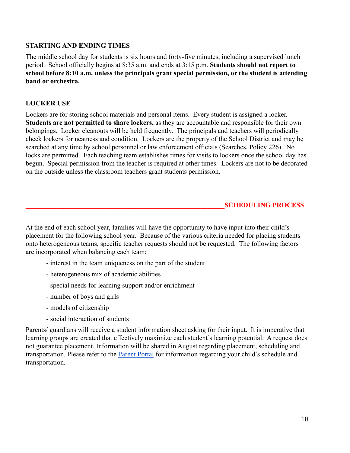## **STARTING AND ENDING TIMES**

The middle school day for students is six hours and forty-five minutes, including a supervised lunch period. School officially begins at 8:35 a.m. and ends at 3:15 p.m. **Students should not report to school before 8:10 a.m. unless the principals grant special permission, or the student is attending band or orchestra.**

## **LOCKER USE**

Lockers are for storing school materials and personal items. Every student is assigned a locker. **Students are not permitted to share lockers,** as they are accountable and responsible for their own belongings. Locker cleanouts will be held frequently. The principals and teachers will periodically check lockers for neatness and condition. Lockers are the property of the School District and may be searched at any time by school personnel or law enforcement officials (Searches, Policy 226). No locks are permitted. Each teaching team establishes times for visits to lockers once the school day has begun. Special permission from the teacher is required at other times. Lockers are not to be decorated on the outside unless the classroom teachers grant students permission.

## **\_\_\_\_\_\_\_\_\_\_\_\_\_\_\_\_\_\_\_\_\_\_\_\_\_\_\_\_\_\_\_\_\_\_\_\_\_\_\_\_\_\_\_\_\_\_\_\_\_\_\_\_\_\_\_\_\_\_SCHEDULING PROCESS**

At the end of each school year, families will have the opportunity to have input into their child's placement for the following school year. Because of the various criteria needed for placing students onto heterogeneous teams, specific teacher requests should not be requested. The following factors are incorporated when balancing each team:

- interest in the team uniqueness on the part of the student
- heterogeneous mix of academic abilities
- special needs for learning support and/or enrichment
- number of boys and girls
- models of citizenship
- social interaction of students

Parents/ guardians will receive a student information sheet asking for their input. It is imperative that learning groups are created that effectively maximize each student's learning potential. A request does not guarantee placement. Information will be shared in August regarding placement, scheduling and transportation. Please refer to the [Parent Portal](https://www.uscsd.k12.pa.us/Domain/679) for information regarding your child's schedule and transportation.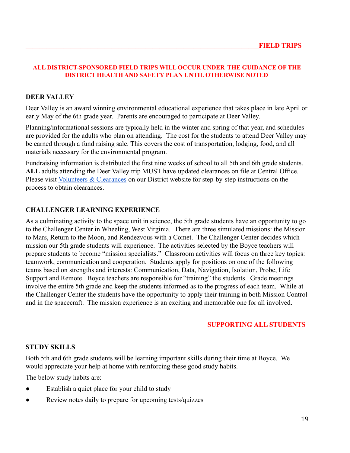#### **ALL DISTRICT-SPONSORED FIELD TRIPS WILL OCCUR UNDER THE GUIDANCE OF THE DISTRICT HEALTH AND SAFETY PLAN UNTIL OTHERWISE NOTED**

#### **DEER VALLEY**

Deer Valley is an award winning environmental educational experience that takes place in late April or early May of the 6th grade year. Parents are encouraged to participate at Deer Valley.

Planning/informational sessions are typically held in the winter and spring of that year, and schedules are provided for the adults who plan on attending. The cost for the students to attend Deer Valley may be earned through a fund raising sale. This covers the cost of transportation, lodging, food, and all materials necessary for the environmental program.

Fundraising information is distributed the first nine weeks of school to all 5th and 6th grade students. **ALL** adults attending the Deer Valley trip MUST have updated clearances on file at Central Office. Please visit [Volunteers & Clearances](https://www.uscsd.k12.pa.us/site/default.aspx?PageType=3&DomainID=1&ModuleInstanceID=1323&ViewID=6446EE88-D30C-497E-9316-3F8874B3E108&RenderLoc=0&FlexDataID=13126&PageID=1) on our District website for step-by-step instructions on the process to obtain clearances.

#### **CHALLENGER LEARNING EXPERIENCE**

As a culminating activity to the space unit in science, the 5th grade students have an opportunity to go to the Challenger Center in Wheeling, West Virginia. There are three simulated missions: the Mission to Mars, Return to the Moon, and Rendezvous with a Comet. The Challenger Center decides which mission our 5th grade students will experience. The activities selected by the Boyce teachers will prepare students to become "mission specialists." Classroom activities will focus on three key topics: teamwork, communication and cooperation. Students apply for positions on one of the following teams based on strengths and interests: Communication, Data, Navigation, Isolation, Probe, Life Support and Remote. Boyce teachers are responsible for "training" the students. Grade meetings involve the entire 5th grade and keep the students informed as to the progress of each team. While at the Challenger Center the students have the opportunity to apply their training in both Mission Control and in the spacecraft. The mission experience is an exciting and memorable one for all involved.

#### \_\_\_\_\_**\_\_\_\_\_\_\_\_\_\_\_\_\_\_\_\_\_\_\_\_\_\_\_\_\_\_\_\_\_\_\_\_\_\_\_\_\_\_\_\_\_\_\_\_\_\_\_\_SUPPORTING ALL STUDENTS**

#### **STUDY SKILLS**

Both 5th and 6th grade students will be learning important skills during their time at Boyce. We would appreciate your help at home with reinforcing these good study habits.

The below study habits are:

- Establish a quiet place for your child to study
- Review notes daily to prepare for upcoming tests/quizzes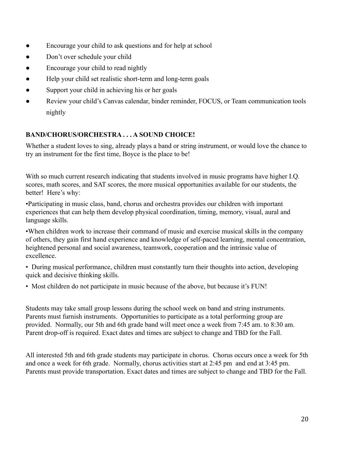- Encourage your child to ask questions and for help at school
- Don't over schedule your child
- Encourage your child to read nightly
- Help your child set realistic short-term and long-term goals
- Support your child in achieving his or her goals
- Review your child's Canvas calendar, binder reminder, FOCUS, or Team communication tools nightly

## **BAND/CHORUS/ORCHESTRA . . . A SOUND CHOICE!**

Whether a student loves to sing, already plays a band or string instrument, or would love the chance to try an instrument for the first time, Boyce is the place to be!

With so much current research indicating that students involved in music programs have higher I.Q. scores, math scores, and SAT scores, the more musical opportunities available for our students, the better! Here's why:

•Participating in music class, band, chorus and orchestra provides our children with important experiences that can help them develop physical coordination, timing, memory, visual, aural and language skills.

•When children work to increase their command of music and exercise musical skills in the company of others, they gain first hand experience and knowledge of self-paced learning, mental concentration, heightened personal and social awareness, teamwork, cooperation and the intrinsic value of excellence.

• During musical performance, children must constantly turn their thoughts into action, developing quick and decisive thinking skills.

• Most children do not participate in music because of the above, but because it's FUN!

Students may take small group lessons during the school week on band and string instruments. Parents must furnish instruments. Opportunities to participate as a total performing group are provided. Normally, our 5th and 6th grade band will meet once a week from 7:45 am. to 8:30 am. Parent drop-off is required. Exact dates and times are subject to change and TBD for the Fall.

All interested 5th and 6th grade students may participate in chorus. Chorus occurs once a week for 5th and once a week for 6th grade. Normally, chorus activities start at 2:45 pm and end at 3:45 pm. Parents must provide transportation. Exact dates and times are subject to change and TBD for the Fall.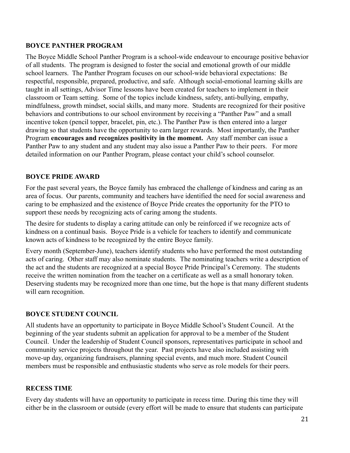## **BOYCE PANTHER PROGRAM**

The Boyce Middle School Panther Program is a school-wide endeavour to encourage positive behavior of all students. The program is designed to foster the social and emotional growth of our middle school learners. The Panther Program focuses on our school-wide behavioral expectations: Be respectful, responsible, prepared, productive, and safe. Although social-emotional learning skills are taught in all settings, Advisor Time lessons have been created for teachers to implement in their classroom or Team setting. Some of the topics include kindness, safety, anti-bullying, empathy, mindfulness, growth mindset, social skills, and many more. Students are recognized for their positive behaviors and contributions to our school environment by receiving a "Panther Paw" and a small incentive token (pencil topper, bracelet, pin, etc.). The Panther Paw is then entered into a larger drawing so that students have the opportunity to earn larger rewards. Most importantly, the Panther Program **encourages and recognizes positivity in the moment.** Any staff member can issue a Panther Paw to any student and any student may also issue a Panther Paw to their peers. For more detailed information on our Panther Program, please contact your child's school counselor.

## **BOYCE PRIDE AWARD**

For the past several years, the Boyce family has embraced the challenge of kindness and caring as an area of focus. Our parents, community and teachers have identified the need for social awareness and caring to be emphasized and the existence of Boyce Pride creates the opportunity for the PTO to support these needs by recognizing acts of caring among the students.

The desire for students to display a caring attitude can only be reinforced if we recognize acts of kindness on a continual basis. Boyce Pride is a vehicle for teachers to identify and communicate known acts of kindness to be recognized by the entire Boyce family.

Every month (September-June), teachers identify students who have performed the most outstanding acts of caring. Other staff may also nominate students. The nominating teachers write a description of the act and the students are recognized at a special Boyce Pride Principal's Ceremony. The students receive the written nomination from the teacher on a certificate as well as a small honorary token. Deserving students may be recognized more than one time, but the hope is that many different students will earn recognition.

#### **BOYCE STUDENT COUNCIL**

All students have an opportunity to participate in Boyce Middle School's Student Council. At the beginning of the year students submit an application for approval to be a member of the Student Council. Under the leadership of Student Council sponsors, representatives participate in school and community service projects throughout the year. Past projects have also included assisting with move-up day, organizing fundraisers, planning special events, and much more. Student Council members must be responsible and enthusiastic students who serve as role models for their peers.

#### **RECESS TIME**

Every day students will have an opportunity to participate in recess time. During this time they will either be in the classroom or outside (every effort will be made to ensure that students can participate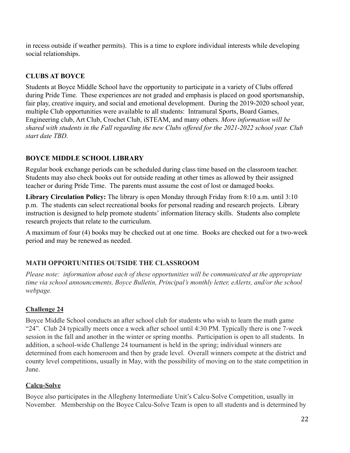in recess outside if weather permits). This is a time to explore individual interests while developing social relationships.

## **CLUBS AT BOYCE**

Students at Boyce Middle School have the opportunity to participate in a variety of Clubs offered during Pride Time. These experiences are not graded and emphasis is placed on good sportsmanship, fair play, creative inquiry, and social and emotional development. During the 2019-2020 school year, multiple Club opportunities were available to all students: Intramural Sports, Board Games, Engineering club, Art Club, Crochet Club, iSTEAM, and many others. *More information will be shared with students in the Fall regarding the new Clubs offered for the 2021-2022 school year. Club start date TBD.*

## **BOYCE MIDDLE SCHOOL LIBRARY**

Regular book exchange periods can be scheduled during class time based on the classroom teacher. Students may also check books out for outside reading at other times as allowed by their assigned teacher or during Pride Time. The parents must assume the cost of lost or damaged books.

**Library Circulation Policy:** The library is open Monday through Friday from 8:10 a.m. until 3:10 p.m. The students can select recreational books for personal reading and research projects. Library instruction is designed to help promote students' information literacy skills. Students also complete research projects that relate to the curriculum.

A maximum of four (4) books may be checked out at one time. Books are checked out for a two-week period and may be renewed as needed.

## **MATH OPPORTUNITIES OUTSIDE THE CLASSROOM**

*Please note: information about each of these opportunities will be communicated at the appropriate time via school announcements, Boyce Bulletin, Principal's monthly letter, eAlerts, and/or the school webpage.*

## **Challenge 24**

Boyce Middle School conducts an after school club for students who wish to learn the math game "24". Club 24 typically meets once a week after school until 4:30 PM. Typically there is one 7-week session in the fall and another in the winter or spring months. Participation is open to all students. In addition, a school-wide Challenge 24 tournament is held in the spring; individual winners are determined from each homeroom and then by grade level. Overall winners compete at the district and county level competitions, usually in May, with the possibility of moving on to the state competition in June.

## **Calcu-Solve**

Boyce also participates in the Allegheny Intermediate Unit's Calcu-Solve Competition, usually in November. Membership on the Boyce Calcu-Solve Team is open to all students and is determined by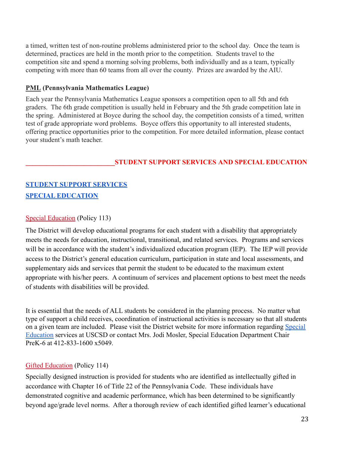a timed, written test of non-routine problems administered prior to the school day. Once the team is determined, practices are held in the month prior to the competition. Students travel to the competition site and spend a morning solving problems, both individually and as a team, typically competing with more than 60 teams from all over the county. Prizes are awarded by the AIU.

#### **PML (Pennsylvania Mathematics League)**

Each year the Pennsylvania Mathematics League sponsors a competition open to all 5th and 6th graders. The 6th grade competition is usually held in February and the 5th grade competition late in the spring. Administered at Boyce during the school day, the competition consists of a timed, written test of grade appropriate word problems. Boyce offers this opportunity to all interested students, offering practice opportunities prior to the competition. For more detailed information, please contact your student's math teacher.

## **\_\_\_\_\_\_\_\_\_\_\_\_\_\_\_\_\_\_\_\_\_\_\_\_\_\_STUDENT SUPPORT SERVICES AND SPECIAL EDUCATION**

## **[STUDENT SUPPORT SERVICES](https://www.uscsd.k12.pa.us/Domain/991) [SPECIAL EDUCATION](https://www.uscsd.k12.pa.us/site/Default.aspx?PageID=19)**

#### [Special Education](https://www.uscsd.k12.pa.us/cms/lib/PA01000033/Centricity/Domain/17/113%20-%20Special%20Education.pdf) (Policy 113)

The District will develop educational programs for each student with a disability that appropriately meets the needs for education, instructional, transitional, and related services. Programs and services will be in accordance with the student's individualized education program (IEP). The IEP will provide access to the District's general education curriculum, participation in state and local assessments, and supplementary aids and services that permit the student to be educated to the maximum extent appropriate with his/her peers. A continuum of services and placement options to best meet the needs of students with disabilities will be provided.

It is essential that the needs of ALL students be considered in the planning process. No matter what type of support a child receives, coordination of instructional activities is necessary so that all students on a given team are included. Please visit the District website for more information regarding [Special](https://www.uscsd.k12.pa.us/site/Default.aspx?PageID=19) [Education](https://www.uscsd.k12.pa.us/site/Default.aspx?PageID=19) services at USCSD or contact Mrs. Jodi Mosler, Special Education Department Chair PreK-6 at 412-833-1600 x5049.

## [Gifted Education](https://www.uscsd.k12.pa.us/cms/lib/PA01000033/Centricity/Domain/17/114%20-%20Gifted%20Education.pdf) (Policy 114)

Specially designed instruction is provided for students who are identified as intellectually gifted in accordance with Chapter 16 of Title 22 of the Pennsylvania Code. These individuals have demonstrated cognitive and academic performance, which has been determined to be significantly beyond age/grade level norms. After a thorough review of each identified gifted learner's educational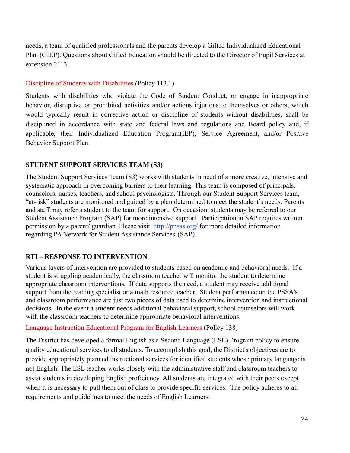needs, a team of qualified professionals and the parents develop a Gifted Individualized Educational Plan (GIEP). Questions about Gifted Education should be directed to the Director of Pupil Services at extension 2113.

## [Discipline of Students with Disabilities](https://www.uscsd.k12.pa.us/cms/lib/PA01000033/Centricity/Domain/17/113.1%20-%20Discipline%20of%20Students%20with%20Disabilities.pdf) (Policy 113.1)

Students with disabilities who violate the Code of Student Conduct, or engage in inappropriate behavior, disruptive or prohibited activities and/or actions injurious to themselves or others, which would typically result in corrective action or discipline of students without disabilities, shall be disciplined in accordance with state and federal laws and regulations and Board policy and, if applicable, their Individualized Education Program(IEP), Service Agreement, and/or Positive Behavior Support Plan.

## **STUDENT SUPPORT SERVICES TEAM (S3)**

The Student Support Services Team (S3) works with students in need of a more creative, intensive and systematic approach in overcoming barriers to their learning. This team is composed of principals, counselors, nurses, teachers, and school psychologists. Through our Student Support Services team, "at-risk" students are monitored and guided by a plan determined to meet the student's needs. Parents and staff may refer a student to the team for support. On occasion, students may be referred to our Student Assistance Program (SAP) for more intensive support. Participation in SAP requires written permission by a parent/ guardian. Please visit <http://pnsas.org/> for more detailed information regarding PA Network for Student Assistance Services (SAP).

## **RTI – RESPONSE TO INTERVENTION**

Various layers of intervention are provided to students based on academic and behavioral needs. If a student is struggling academically, the classroom teacher will monitor the student to determine appropriate classroom interventions. If data supports the need, a student may receive additional support from the reading specialist or a math resource teacher. Student performance on the PSSA's and classroom performance are just two pieces of data used to determine intervention and instructional decisions. In the event a student needs additional behavioral support, school counselors will work with the classroom teachers to determine appropriate behavioral interventions.

[Language Instruction Educational Program for English](https://www.uscsd.k12.pa.us/cms/lib/PA01000033/Centricity/Domain/17/138%20-%20Language%20Instruction%20Educational%20Program%20for%20English%20Learners.pdf) Learners (Policy 138)

The District has developed a formal English as a Second Language (ESL) Program policy to ensure quality educational services to all students. To accomplish this goal, the District's objectives are to provide appropriately planned instructional services for identified students whose primary language is not English. The ESL teacher works closely with the administrative staff and classroom teachers to assist students in developing English proficiency. All students are integrated with their peers except when it is necessary to pull them out of class to provide specific services. The policy adheres to all requirements and guidelines to meet the needs of English Learners.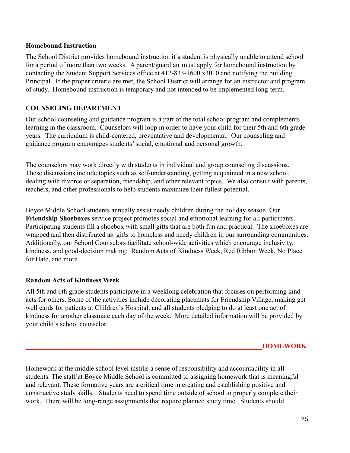#### **Homebound Instruction**

The School District provides homebound instruction if a student is physically unable to attend school for a period of more than two weeks. A parent/guardian must apply for homebound instruction by contacting the Student Support Services office at 412-833-1600 x3010 and notifying the building Principal. If the proper criteria are met, the School District will arrange for an instructor and program of study. Homebound instruction is temporary and not intended to be implemented long-term.

## **COUNSELING DEPARTMENT**

Our school counseling and guidance program is a part of the total school program and complements learning in the classroom. Counselors will loop in order to have your child for their 5th and 6th grade years. The curriculum is child-centered, preventative and developmental. Our counseling and guidance program encourages students' social, emotional and personal growth.

The counselors may work directly with students in individual and group counseling discussions. These discussions include topics such as self-understanding, getting acquainted in a new school, dealing with divorce or separation, friendship, and other relevant topics. We also consult with parents, teachers, and other professionals to help students maximize their fullest potential.

Boyce Middle School students annually assist needy children during the holiday season. Our **Friendship Shoeboxes** service project promotes social and emotional learning for all participants. Participating students fill a shoebox with small gifts that are both fun and practical. The shoeboxes are wrapped and then distributed as gifts to homeless and needy children in our surrounding communities. Additionally, our School Counselors facilitate school-wide activities which encourage inclusivity, kindness, and good-decision making: Random Acts of Kindness Week, Red Ribbon Week, No Place for Hate, and more.

#### **Random Acts of Kindness Week**

All 5th and 6th grade students participate in a weeklong celebration that focuses on performing kind acts for others. Some of the activities include decorating placemats for Friendship Village, making get well cards for patients at Children's Hospital, and all students pledging to do at least one act of kindness for another classmate each day of the week. More detailed information will be provided by your child's school counselor.

Homework at the middle school level instills a sense of responsibility and accountability in all students. The staff at Boyce Middle School is committed to assigning homework that is meaningful and relevant. These formative years are a critical time in creating and establishing positive and constructive study skills. Students need to spend time outside of school to properly complete their work. There will be long-range assignments that require planned study time. Students should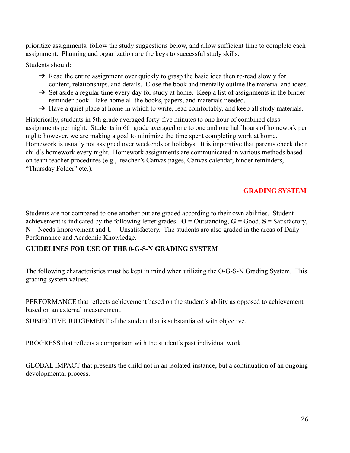prioritize assignments, follow the study suggestions below, and allow sufficient time to complete each assignment. Planning and organization are the keys to successful study skills.

Students should:

- → Read the entire assignment over quickly to grasp the basic idea then re-read slowly for content, relationships, and details. Close the book and mentally outline the material and ideas.
- $\rightarrow$  Set aside a regular time every day for study at home. Keep a list of assignments in the binder reminder book. Take home all the books, papers, and materials needed.
- $\rightarrow$  Have a quiet place at home in which to write, read comfortably, and keep all study materials.

Historically, students in 5th grade averaged forty-five minutes to one hour of combined class assignments per night. Students in 6th grade averaged one to one and one half hours of homework per night; however, we are making a goal to minimize the time spent completing work at home. Homework is usually not assigned over weekends or holidays. It is imperative that parents check their child's homework every night. Homework assignments are communicated in various methods based on team teacher procedures (e.g., teacher's Canvas pages, Canvas calendar, binder reminders, "Thursday Folder" etc.).

## **\_\_\_\_\_\_\_\_\_\_\_\_\_\_\_\_\_\_\_\_\_\_\_\_\_\_\_\_\_\_\_\_\_\_\_\_\_\_\_\_\_\_\_\_\_\_\_\_\_\_\_\_\_\_\_\_\_\_\_\_\_\_\_GRADING SYSTEM**

Students are not compared to one another but are graded according to their own abilities. Student achievement is indicated by the following letter grades:  $\mathbf{O} = \text{Outstanding}, \mathbf{G} = \text{Good}, \mathbf{S} = \text{Satisfactory},$  $N =$  Needs Improvement and  $U =$  Unsatisfactory. The students are also graded in the areas of Daily Performance and Academic Knowledge.

## **GUIDELINES FOR USE OF THE 0-G-S-N GRADING SYSTEM**

The following characteristics must be kept in mind when utilizing the O-G-S-N Grading System. This grading system values:

PERFORMANCE that reflects achievement based on the student's ability as opposed to achievement based on an external measurement.

SUBJECTIVE JUDGEMENT of the student that is substantiated with objective.

PROGRESS that reflects a comparison with the student's past individual work.

GLOBAL IMPACT that presents the child not in an isolated instance, but a continuation of an ongoing developmental process.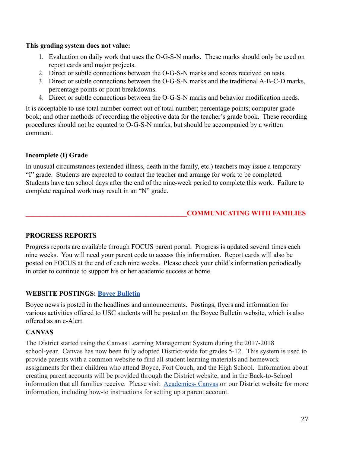#### **This grading system does not value:**

- 1. Evaluation on daily work that uses the O-G-S-N marks. These marks should only be used on report cards and major projects.
- 2. Direct or subtle connections between the O-G-S-N marks and scores received on tests.
- 3. Direct or subtle connections between the O-G-S-N marks and the traditional A-B-C-D marks, percentage points or point breakdowns.
- 4. Direct or subtle connections between the O-G-S-N marks and behavior modification needs.

It is acceptable to use total number correct out of total number; percentage points; computer grade book; and other methods of recording the objective data for the teacher's grade book. These recording procedures should not be equated to O-G-S-N marks, but should be accompanied by a written comment.

## **Incomplete (I) Grade**

In unusual circumstances (extended illness, death in the family, etc.) teachers may issue a temporary "I" grade. Students are expected to contact the teacher and arrange for work to be completed. Students have ten school days after the end of the nine-week period to complete this work. Failure to complete required work may result in an "N" grade.

## **\_\_\_\_\_\_\_\_\_\_\_\_\_\_\_\_\_\_\_\_\_\_\_\_\_\_\_\_\_\_\_\_\_\_\_\_\_\_\_\_\_\_\_\_\_\_\_COMMUNICATING WITH FAMILIES**

#### **PROGRESS REPORTS**

Progress reports are available through FOCUS parent portal. Progress is updated several times each nine weeks. You will need your parent code to access this information. Report cards will also be posted on FOCUS at the end of each nine weeks. Please check your child's information periodically in order to continue to support his or her academic success at home.

## **WEBSITE POSTINGS: [Boyce Bulletin](https://www.uscsd.k12.pa.us/site/default.aspx?PageType=3&DomainID=322&ModuleInstanceID=1328&ViewID=6446EE88-D30C-497E-9316-3F8874B3E108&RenderLoc=0&FlexDataID=17991&PageID=2184)**

Boyce news is posted in the headlines and announcements. Postings, flyers and information for various activities offered to USC students will be posted on the Boyce Bulletin website, which is also offered as an e-Alert.

## **CANVAS**

The District started using the Canvas Learning Management System during the 2017-2018 school-year. Canvas has now been fully adopted District-wide for grades 5-12. This system is used to provide parents with a common website to find all student learning materials and homework assignments for their children who attend Boyce, Fort Couch, and the High School. Information about creating parent accounts will be provided through the District website, and in the Back-to-School information that all families receive. Please visit [Academics- Canvas](https://www.uscsd.k12.pa.us/domain/891) on our District website for more information, including how-to instructions for setting up a parent account.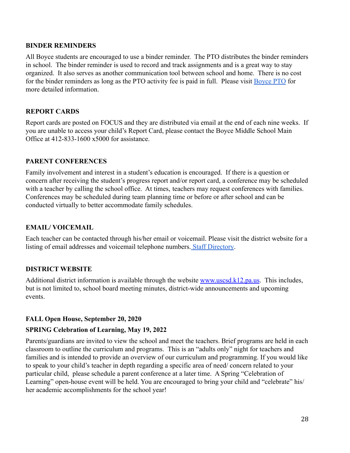#### **BINDER REMINDERS**

All Boyce students are encouraged to use a binder reminder. The PTO distributes the binder reminders in school. The binder reminder is used to record and track assignments and is a great way to stay organized. It also serves as another communication tool between school and home. There is no cost for the binder reminders as long as the PTO activity fee is paid in full. Please visit [Boyce PTO](https://www.uscsd.k12.pa.us/domain/400) for more detailed information.

#### **REPORT CARDS**

Report cards are posted on FOCUS and they are distributed via email at the end of each nine weeks. If you are unable to access your child's Report Card, please contact the Boyce Middle School Main Office at 412-833-1600 x5000 for assistance.

## **PARENT CONFERENCES**

Family involvement and interest in a student's education is encouraged. If there is a question or concern after receiving the student's progress report and/or report card, a conference may be scheduled with a teacher by calling the school office. At times, teachers may request conferences with families. Conferences may be scheduled during team planning time or before or after school and can be conducted virtually to better accommodate family schedules.

## **EMAIL/ VOICEMAIL**

Each teacher can be contacted through his/her email or voicemail. Please visit the district website for a listing of email addresses and voicemail telephone numbers. [Staff Directory](https://www.uscsd.k12.pa.us/Domain/835).

## **DISTRICT WEBSITE**

Additional district information is available through the website [www.uscsd.k12.pa.us](http://www.uscsd.k12.pa.us). This includes, but is not limited to, school board meeting minutes, district-wide announcements and upcoming events.

## **FALL Open House, September 20, 2020**

#### **SPRING Celebration of Learning, May 19, 2022**

Parents/guardians are invited to view the school and meet the teachers. Brief programs are held in each classroom to outline the curriculum and programs. This is an "adults only" night for teachers and families and is intended to provide an overview of our curriculum and programming. If you would like to speak to your child's teacher in depth regarding a specific area of need/ concern related to your particular child, please schedule a parent conference at a later time. A Spring "Celebration of Learning" open-house event will be held. You are encouraged to bring your child and "celebrate" his/ her academic accomplishments for the school year!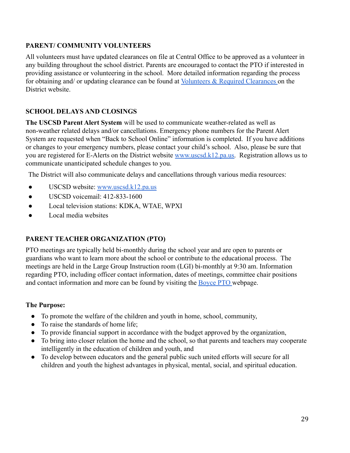## **PARENT/ COMMUNITY VOLUNTEERS**

All volunteers must have updated clearances on file at Central Office to be approved as a volunteer in any building throughout the school district. Parents are encouraged to contact the PTO if interested in providing assistance or volunteering in the school. More detailed information regarding the process for obtaining and/ or updating clearance can be found at [Volunteers & Required Clearances](https://www.uscsd.k12.pa.us/site/default.aspx?PageType=3&DomainID=1&ModuleInstanceID=1323&ViewID=6446EE88-D30C-497E-9316-3F8874B3E108&RenderLoc=0&FlexDataID=13126&PageID=1) on the District website.

## **SCHOOL DELAYS AND CLOSINGS**

**The USCSD Parent Alert System** will be used to communicate weather-related as well as non-weather related delays and/or cancellations. Emergency phone numbers for the Parent Alert System are requested when "Back to School Online" information is completed. If you have additions or changes to your emergency numbers, please contact your child's school. Also, please be sure that you are registered for E-Alerts on the District website [www.uscsd.k12.pa.us.](http://www.uscsd.k12.pa.us) Registration allows us to communicate unanticipated schedule changes to you.

The District will also communicate delays and cancellations through various media resources:

- $\bullet$  USCSD website: [www.uscsd.k12.pa.us](http://www.uscsd.k12.pa.us)
- USCSD voicemail: 412-833-1600
- Local television stations: KDKA, WTAE, WPXI
- Local media websites

## **PARENT TEACHER ORGANIZATION (PTO)**

PTO meetings are typically held bi-monthly during the school year and are open to parents or guardians who want to learn more about the school or contribute to the educational process. The meetings are held in the Large Group Instruction room (LGI) bi-monthly at 9:30 am. Information regarding PTO, including officer contact information, dates of meetings, committee chair positions and contact information and more can be found by visiting the [Boyce PTO](https://www.uscsd.k12.pa.us/domain/400) webpage.

#### **The Purpose:**

- To promote the welfare of the children and youth in home, school, community,
- To raise the standards of home life;
- To provide financial support in accordance with the budget approved by the organization,
- To bring into closer relation the home and the school, so that parents and teachers may cooperate intelligently in the education of children and youth, and
- To develop between educators and the general public such united efforts will secure for all children and youth the highest advantages in physical, mental, social, and spiritual education.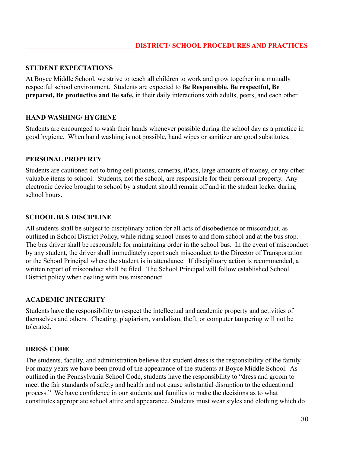#### **STUDENT EXPECTATIONS**

At Boyce Middle School, we strive to teach all children to work and grow together in a mutually respectful school environment. Students are expected to **Be Responsible, Be respectful, Be prepared, Be productive and Be safe,** in their daily interactions with adults, peers, and each other.

#### **HAND WASHING/ HYGIENE**

Students are encouraged to wash their hands whenever possible during the school day as a practice in good hygiene. When hand washing is not possible, hand wipes or sanitizer are good substitutes.

#### **PERSONAL PROPERTY**

Students are cautioned not to bring cell phones, cameras, iPads, large amounts of money, or any other valuable items to school. Students, not the school, are responsible for their personal property. Any electronic device brought to school by a student should remain off and in the student locker during school hours.

#### **SCHOOL BUS DISCIPLINE**

All students shall be subject to disciplinary action for all acts of disobedience or misconduct, as outlined in School District Policy, while riding school buses to and from school and at the bus stop. The bus driver shall be responsible for maintaining order in the school bus. In the event of misconduct by any student, the driver shall immediately report such misconduct to the Director of Transportation or the School Principal where the student is in attendance. If disciplinary action is recommended, a written report of misconduct shall be filed. The School Principal will follow established School District policy when dealing with bus misconduct.

#### **ACADEMIC INTEGRITY**

Students have the responsibility to respect the intellectual and academic property and activities of themselves and others. Cheating, plagiarism, vandalism, theft, or computer tampering will not be tolerated.

#### **DRESS CODE**

The students, faculty, and administration believe that student dress is the responsibility of the family. For many years we have been proud of the appearance of the students at Boyce Middle School. As outlined in the Pennsylvania School Code, students have the responsibility to "dress and groom to meet the fair standards of safety and health and not cause substantial disruption to the educational process." We have confidence in our students and families to make the decisions as to what constitutes appropriate school attire and appearance. Students must wear styles and clothing which do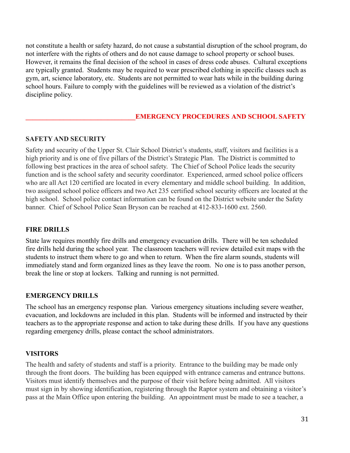not constitute a health or safety hazard, do not cause a substantial disruption of the school program, do not interfere with the rights of others and do not cause damage to school property or school buses. However, it remains the final decision of the school in cases of dress code abuses. Cultural exceptions are typically granted. Students may be required to wear prescribed clothing in specific classes such as gym, art, science laboratory, etc. Students are not permitted to wear hats while in the building during school hours. Failure to comply with the guidelines will be reviewed as a violation of the district's discipline policy.

### **\_\_\_\_\_\_\_\_\_\_\_\_\_\_\_\_\_\_\_\_\_\_\_\_\_\_\_\_\_\_\_\_EMERGENCY PROCEDURES AND SCHOOL SAFETY**

#### **SAFETY AND SECURITY**

Safety and security of the Upper St. Clair School District's students, staff, visitors and facilities is a high priority and is one of five pillars of the District's Strategic Plan. The District is committed to following best practices in the area of school safety. The Chief of School Police leads the security function and is the school safety and security coordinator. Experienced, armed school police officers who are all Act 120 certified are located in every elementary and middle school building. In addition, two assigned school police officers and two Act 235 certified school security officers are located at the high school. School police contact information can be found on the District website under the Safety banner. Chief of School Police Sean Bryson can be reached at 412-833-1600 ext. 2560.

#### **FIRE DRILLS**

State law requires monthly fire drills and emergency evacuation drills. There will be ten scheduled fire drills held during the school year. The classroom teachers will review detailed exit maps with the students to instruct them where to go and when to return. When the fire alarm sounds, students will immediately stand and form organized lines as they leave the room. No one is to pass another person, break the line or stop at lockers. Talking and running is not permitted.

#### **EMERGENCY DRILLS**

The school has an emergency response plan. Various emergency situations including severe weather, evacuation, and lockdowns are included in this plan. Students will be informed and instructed by their teachers as to the appropriate response and action to take during these drills. If you have any questions regarding emergency drills, please contact the school administrators.

#### **VISITORS**

The health and safety of students and staff is a priority. Entrance to the building may be made only through the front doors. The building has been equipped with entrance cameras and entrance buttons. Visitors must identify themselves and the purpose of their visit before being admitted. All visitors must sign in by showing identification, registering through the Raptor system and obtaining a visitor's pass at the Main Office upon entering the building. An appointment must be made to see a teacher, a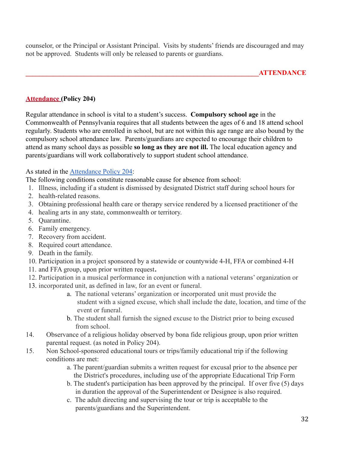counselor, or the Principal or Assistant Principal. Visits by students' friends are discouraged and may not be approved. Students will only be released to parents or guardians.

## **[Attendance](https://www.uscsd.k12.pa.us/cms/lib/PA01000033/Centricity/Domain/17/204%20-%20Attendance.pdf) (Policy 204)**

Regular attendance in school is vital to a student's success. **Compulsory school age** in the Commonwealth of Pennsylvania requires that all students between the ages of 6 and 18 attend school regularly. Students who are enrolled in school, but are not within this age range are also bound by the compulsory school attendance law. Parents/guardians are expected to encourage their children to attend as many school days as possible **so long as they are not ill.** The local education agency and parents/guardians will work collaboratively to support student school attendance.

As stated in the [Attendance Policy 204:](https://www.uscsd.k12.pa.us/Page/134)

The following conditions constitute reasonable cause for absence from school:

- 1. Illness, including if a student is dismissed by designated District staff during school hours for
- 2. health-related reasons.
- 3. Obtaining professional health care or therapy service rendered by a licensed practitioner of the
- 4. healing arts in any state, commonwealth or territory.
- 5. Quarantine.
- 6. Family emergency.
- 7. Recovery from accident.
- 8. Required court attendance.
- 9. Death in the family.
- 10. Participation in a project sponsored by a statewide or countywide 4-H, FFA or combined 4-H
- 11. and FFA group, upon prior written request**.**
- 12. Participation in a musical performance in conjunction with a national veterans' organization or
- 13. incorporated unit, as defined in law, for an event or funeral.
	- a. The national veterans' organization or incorporated unit must provide the student with a signed excuse, which shall include the date, location, and time of the event or funeral.
	- b. The student shall furnish the signed excuse to the District prior to being excused from school.
- 14. Observance of a religious holiday observed by bona fide religious group, upon prior written parental request. (as noted in Policy 204).
- 15. Non School-sponsored educational tours or trips/family educational trip if the following conditions are met:
	- a. The parent/guardian submits a written request for excusal prior to the absence per the District's procedures, including use of the appropriate Educational Trip Form
	- b. The student's participation has been approved by the principal. If over five (5) days in duration the approval of the Superintendent or Designee is also required.
	- c. The adult directing and supervising the tour or trip is acceptable to the parents/guardians and the Superintendent.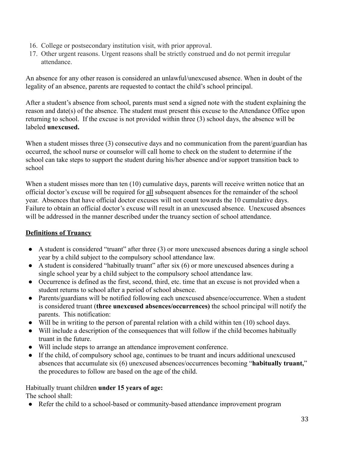- 16. College or postsecondary institution visit, with prior approval.
- 17. Other urgent reasons. Urgent reasons shall be strictly construed and do not permit irregular attendance.

An absence for any other reason is considered an unlawful/unexcused absence. When in doubt of the legality of an absence, parents are requested to contact the child's school principal.

After a student's absence from school, parents must send a signed note with the student explaining the reason and date(s) of the absence. The student must present this excuse to the Attendance Office upon returning to school. If the excuse is not provided within three (3) school days, the absence will be labeled **unexcused.**

When a student misses three (3) consecutive days and no communication from the parent/guardian has occurred, the school nurse or counselor will call home to check on the student to determine if the school can take steps to support the student during his/her absence and/or support transition back to school

When a student misses more than ten (10) cumulative days, parents will receive written notice that an official doctor's excuse will be required for all subsequent absences for the remainder of the school year. Absences that have official doctor excuses will not count towards the 10 cumulative days. Failure to obtain an official doctor's excuse will result in an unexcused absence. Unexcused absences will be addressed in the manner described under the truancy section of school attendance.

## **Definitions of Truancy**

- A student is considered "truant" after three (3) or more unexcused absences during a single school year by a child subject to the compulsory school attendance law.
- A student is considered "habitually truant" after six (6) or more unexcused absences during a single school year by a child subject to the compulsory school attendance law.
- Occurrence is defined as the first, second, third, etc. time that an excuse is not provided when a student returns to school after a period of school absence.
- Parents/guardians will be notified following each unexcused absence/occurrence. When a student is considered truant (**three unexcused absences/occurrences)** the school principal will notify the parents. This notification:
- Will be in writing to the person of parental relation with a child within ten (10) school days.
- Will include a description of the consequences that will follow if the child becomes habitually truant in the future.
- Will include steps to arrange an attendance improvement conference.
- If the child, of compulsory school age, continues to be truant and incurs additional unexcused absences that accumulate six (6) unexcused absences/occurrences becoming "**habitually truant,**" the procedures to follow are based on the age of the child.

Habitually truant children **under 15 years of age:** The school shall:

● Refer the child to a school-based or community-based attendance improvement program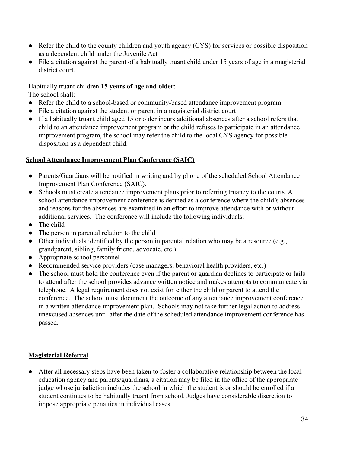- Refer the child to the county children and youth agency (CYS) for services or possible disposition as a dependent child under the Juvenile Act
- File a citation against the parent of a habitually truant child under 15 years of age in a magisterial district court.

Habitually truant children **15 years of age and older**: The school shall:

- Refer the child to a school-based or community-based attendance improvement program
- File a citation against the student or parent in a magisterial district court
- If a habitually truant child aged 15 or older incurs additional absences after a school refers that child to an attendance improvement program or the child refuses to participate in an attendance improvement program, the school may refer the child to the local CYS agency for possible disposition as a dependent child.

#### **School Attendance Improvement Plan Conference (SAIC)**

- Parents/Guardians will be notified in writing and by phone of the scheduled School Attendance Improvement Plan Conference (SAIC).
- Schools must create attendance improvement plans prior to referring truancy to the courts. A school attendance improvement conference is defined as a conference where the child's absences and reasons for the absences are examined in an effort to improve attendance with or without additional services. The conference will include the following individuals:
- The child
- The person in parental relation to the child
- Other individuals identified by the person in parental relation who may be a resource (e.g., grandparent, sibling, family friend, advocate, etc.)
- Appropriate school personnel
- Recommended service providers (case managers, behavioral health providers, etc.)
- The school must hold the conference even if the parent or guardian declines to participate or fails to attend after the school provides advance written notice and makes attempts to communicate via telephone. A legal requirement does not exist for either the child or parent to attend the conference. The school must document the outcome of any attendance improvement conference in a written attendance improvement plan. Schools may not take further legal action to address unexcused absences until after the date of the scheduled attendance improvement conference has passed.

## **Magisterial Referral**

● After all necessary steps have been taken to foster a collaborative relationship between the local education agency and parents/guardians, a citation may be filed in the office of the appropriate judge whose jurisdiction includes the school in which the student is or should be enrolled if a student continues to be habitually truant from school. Judges have considerable discretion to impose appropriate penalties in individual cases.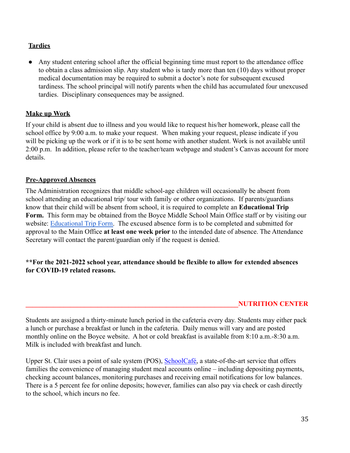## **Tardies**

Any student entering school after the official beginning time must report to the attendance office to obtain a class admission slip. Any student who is tardy more than ten (10) days without proper medical documentation may be required to submit a doctor's note for subsequent excused tardiness. The school principal will notify parents when the child has accumulated four unexcused tardies. Disciplinary consequences may be assigned.

## **Make up Work**

If your child is absent due to illness and you would like to request his/her homework, please call the school office by 9:00 a.m. to make your request. When making your request, please indicate if you will be picking up the work or if it is to be sent home with another student. Work is not available until 2:00 p.m. In addition, please refer to the teacher/team webpage and student's Canvas account for more details.

#### **Pre-Approved Absences**

The Administration recognizes that middle school-age children will occasionally be absent from school attending an educational trip/ tour with family or other organizations. If parents/guardians know that their child will be absent from school, it is required to complete an **Educational Trip Form.** This form may be obtained from the Boyce Middle School Main Office staff or by visiting our website: [Educational Trip Form.](https://www.uscsd.k12.pa.us/Domain/327) The excused absence form is to be completed and submitted for approval to the Main Office **at least one week prior** to the intended date of absence. The Attendance Secretary will contact the parent/guardian only if the request is denied.

## **\*\*For the 2021-2022 school year, attendance should be flexible to allow for extended absences for COVID-19 related reasons.**

#### **\_\_\_\_\_\_\_\_\_\_\_\_\_\_\_\_\_\_\_\_\_\_\_\_\_\_\_\_\_\_\_\_\_\_\_\_\_\_\_\_\_\_\_\_\_\_\_\_\_\_\_\_\_\_\_\_\_\_\_\_\_\_NUTRITION CENTER**

Students are assigned a thirty-minute lunch period in the cafeteria every day. Students may either pack a lunch or purchase a breakfast or lunch in the cafeteria. Daily menus will vary and are posted monthly online on the Boyce website. A hot or cold breakfast is available from 8:10 a.m.-8:30 a.m. Milk is included with breakfast and lunch.

Upper St. Clair uses a point of sale system (POS), [SchoolCafé,](http://www.schoolcafe.com/) a state-of-the-art service that offers families the convenience of managing student meal accounts online – including depositing payments, checking account balances, monitoring purchases and receiving email notifications for low balances. There is a 5 percent fee for online deposits; however, families can also pay via check or cash directly to the school, which incurs no fee.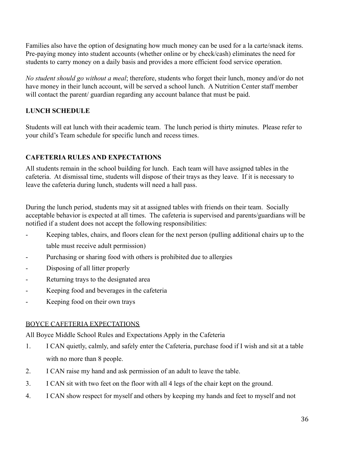Families also have the option of designating how much money can be used for a la carte/snack items. Pre-paying money into student accounts (whether online or by check/cash) eliminates the need for students to carry money on a daily basis and provides a more efficient food service operation.

*No student should go without a meal*; therefore, students who forget their lunch, money and/or do not have money in their lunch account, will be served a school lunch. A Nutrition Center staff member will contact the parent/ guardian regarding any account balance that must be paid.

## **LUNCH SCHEDULE**

Students will eat lunch with their academic team. The lunch period is thirty minutes. Please refer to your child's Team schedule for specific lunch and recess times.

## **CAFETERIA RULES AND EXPECTATIONS**

All students remain in the school building for lunch. Each team will have assigned tables in the cafeteria. At dismissal time, students will dispose of their trays as they leave. If it is necessary to leave the cafeteria during lunch, students will need a hall pass.

During the lunch period, students may sit at assigned tables with friends on their team. Socially acceptable behavior is expected at all times. The cafeteria is supervised and parents/guardians will be notified if a student does not accept the following responsibilities:

- Keeping tables, chairs, and floors clean for the next person (pulling additional chairs up to the table must receive adult permission)
- Purchasing or sharing food with others is prohibited due to allergies
- Disposing of all litter properly
- Returning trays to the designated area
- Keeping food and beverages in the cafeteria
- Keeping food on their own trays

## BOYCE CAFETERIA EXPECTATIONS

All Boyce Middle School Rules and Expectations Apply in the Cafeteria

- 1. I CAN quietly, calmly, and safely enter the Cafeteria, purchase food if I wish and sit at a table with no more than 8 people.
- 2. I CAN raise my hand and ask permission of an adult to leave the table.
- 3. I CAN sit with two feet on the floor with all 4 legs of the chair kept on the ground.
- 4. I CAN show respect for myself and others by keeping my hands and feet to myself and not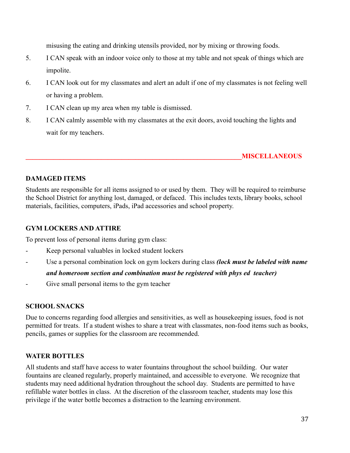misusing the eating and drinking utensils provided, nor by mixing or throwing foods.

- 5. I CAN speak with an indoor voice only to those at my table and not speak of things which are impolite.
- 6. I CAN look out for my classmates and alert an adult if one of my classmates is not feeling well or having a problem.
- 7. I CAN clean up my area when my table is dismissed.
- 8. I CAN calmly assemble with my classmates at the exit doors, avoid touching the lights and wait for my teachers.

## **\_\_\_\_\_\_\_\_\_\_\_\_\_\_\_\_\_\_\_\_\_\_\_\_\_\_\_\_\_\_\_\_\_\_\_\_\_\_\_\_\_\_\_\_\_\_\_\_\_\_\_\_\_\_\_\_\_\_\_\_\_\_\_MISCELLANEOUS**

## **DAMAGED ITEMS**

Students are responsible for all items assigned to or used by them. They will be required to reimburse the School District for anything lost, damaged, or defaced. This includes texts, library books, school materials, facilities, computers, iPads, iPad accessories and school property.

## **GYM LOCKERS AND ATTIRE**

To prevent loss of personal items during gym class:

- Keep personal valuables in locked student lockers
- Use a personal combination lock on gym lockers during class *(lock must be labeled with name*

#### *and homeroom section and combination must be registered with phys ed teacher)*

Give small personal items to the gym teacher

#### **SCHOOL SNACKS**

Due to concerns regarding food allergies and sensitivities, as well as housekeeping issues, food is not permitted for treats. If a student wishes to share a treat with classmates, non-food items such as books, pencils, games or supplies for the classroom are recommended.

## **WATER BOTTLES**

All students and staff have access to water fountains throughout the school building. Our water fountains are cleaned regularly, properly maintained, and accessible to everyone. We recognize that students may need additional hydration throughout the school day. Students are permitted to have refillable water bottles in class. At the discretion of the classroom teacher, students may lose this privilege if the water bottle becomes a distraction to the learning environment.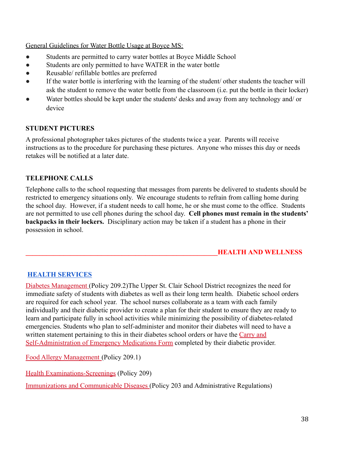General Guidelines for Water Bottle Usage at Boyce MS:

- Students are permitted to carry water bottles at Boyce Middle School
- Students are only permitted to have WATER in the water bottle
- Reusable/ refillable bottles are preferred
- If the water bottle is interfering with the learning of the student/ other students the teacher will ask the student to remove the water bottle from the classroom (i.e. put the bottle in their locker)
- Water bottles should be kept under the students' desks and away from any technology and/ or device

## **STUDENT PICTURES**

A professional photographer takes pictures of the students twice a year. Parents will receive instructions as to the procedure for purchasing these pictures. Anyone who misses this day or needs retakes will be notified at a later date.

## **TELEPHONE CALLS**

Telephone calls to the school requesting that messages from parents be delivered to students should be restricted to emergency situations only. We encourage students to refrain from calling home during the school day. However, if a student needs to call home, he or she must come to the office. Students are not permitted to use cell phones during the school day. **Cell phones must remain in the students' backpacks in their lockers.** Disciplinary action may be taken if a student has a phone in their possession in school.

## **\_\_\_\_\_\_\_\_\_\_\_\_\_\_\_\_\_\_\_\_\_\_\_\_\_\_\_\_\_\_\_\_\_\_\_\_\_\_\_\_\_\_\_\_\_\_\_\_\_\_\_\_\_\_\_\_HEALTH AND WELLNESS**

## **[HEALTH SERVICES](https://www.uscsd.k12.pa.us/Page/113)**

[Diabetes Management](https://www.uscsd.k12.pa.us/cms/lib/PA01000033/Centricity/Domain/17/209.2%20-%20Diabetes%20Management.pdf) (Policy 209.2)The Upper St. Clair School District recognizes the need for immediate safety of students with diabetes as well as their long term health. Diabetic school orders are required for each school year. The school nurses collaborate as a team with each family individually and their diabetic provider to create a plan for their student to ensure they are ready to learn and participate fully in school activities while minimizing the possibility of diabetes-related emergencies. Students who plan to self-administer and monitor their diabetes will need to have a written statement pertaining to this in their diabetes school orders or have the [Carry and](https://www.uscsd.k12.pa.us/cms/lib/PA01000033/Centricity/Domain/17/210.1%20AR%20-%20Carry%20and%20Self-Administration%20of%20Emergency%20Medications%20Form.pdf) [Self-Administration of Emergency Medications Form](https://www.uscsd.k12.pa.us/cms/lib/PA01000033/Centricity/Domain/17/210.1%20AR%20-%20Carry%20and%20Self-Administration%20of%20Emergency%20Medications%20Form.pdf) completed by their diabetic provider.

[Food Allergy Management](https://www.uscsd.k12.pa.us/cms/lib/PA01000033/Centricity/Domain/17/209.1%20-%20Food%20Allergy%20Management.pdf) (Policy 209.1)

[Health Examinations-Screenings](https://www.uscsd.k12.pa.us/cms/lib/PA01000033/Centricity/Domain/17/209%20-%20Health%20Examinations-Screenings.pdf) (Policy 209)

Immunizations and Communicable Diseases (Policy 203 and Administrative Regulations)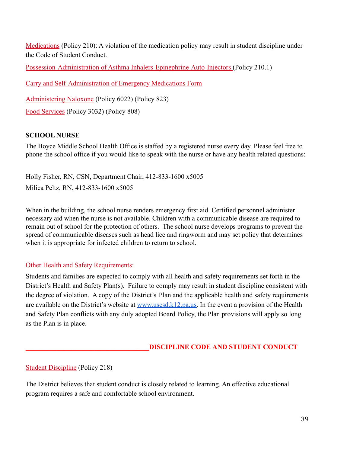[Medications](https://www.uscsd.k12.pa.us/cms/lib/PA01000033/Centricity/Domain/17/210%20-%20Medications.pdf) (Policy 210): A violation of the medication policy may result in student discipline under the Code of Student Conduct.

[Possession-Administration of Asthma Inhalers-Epinephrine](https://www.uscsd.k12.pa.us/cms/lib/PA01000033/Centricity/Domain/17/210.1%20-%20Possession_Administration%20of%20Asthma%20Inhalers-Epinephrine%20Auto-Injectors%20.pdf) Auto-Injectors (Policy 210.1)

[Carry and Self-Administration of Emergency Medications](https://www.uscsd.k12.pa.us/cms/lib/PA01000033/Centricity/Domain/17/210.1%20AR%20-%20Carry%20and%20Self-Administration%20of%20Emergency%20Medications%20Form.pdf) Form

[Administering Naloxone](https://www.uscsd.k12.pa.us/cms/lib/PA01000033/Centricity/Domain/17/Policy%206022%20-%20Administering%20Naloxone.pdf) (Policy 6022) (Policy 823)

[Food Services](https://www.uscsd.k12.pa.us/cms/lib/PA01000033/Centricity/Domain/17/3032%20-%20Food%20Services.pdf) (Policy 3032) (Policy 808)

## **SCHOOL NURSE**

The Boyce Middle School Health Office is staffed by a registered nurse every day. Please feel free to phone the school office if you would like to speak with the nurse or have any health related questions:

Holly Fisher, RN, CSN, Department Chair, 412-833-1600 x5005 Milica Peltz, RN, 412-833-1600 x5005

When in the building, the school nurse renders emergency first aid. Certified personnel administer necessary aid when the nurse is not available. Children with a communicable disease are required to remain out of school for the protection of others. The school nurse develops programs to prevent the spread of communicable diseases such as head lice and ringworm and may set policy that determines when it is appropriate for infected children to return to school.

## Other Health and Safety Requirements:

Students and families are expected to comply with all health and safety requirements set forth in the District's Health and Safety Plan(s). Failure to comply may result in student discipline consistent with the degree of violation. A copy of the District's Plan and the applicable health and safety requirements are available on the District's website at [www.uscsd.k12.pa.us.](http://www.uscsd.k12.pa.us) In the event a provision of the Health and Safety Plan conflicts with any duly adopted Board Policy, the Plan provisions will apply so long as the Plan is in place.

## **\_\_\_\_\_\_\_\_\_\_\_\_\_\_\_\_\_\_\_\_\_\_\_\_\_\_\_\_\_\_\_\_\_\_\_\_DISCIPLINE CODE AND STUDENT CONDUCT**

#### [Student Discipline](https://www.uscsd.k12.pa.us/cms/lib/PA01000033/Centricity/Domain/17/218%20-%20Student%20Discipline.pdf) (Policy 218)

The District believes that student conduct is closely related to learning. An effective educational program requires a safe and comfortable school environment.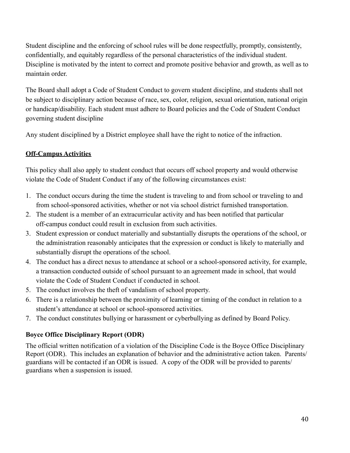Student discipline and the enforcing of school rules will be done respectfully, promptly, consistently, confidentially, and equitably regardless of the personal characteristics of the individual student. Discipline is motivated by the intent to correct and promote positive behavior and growth, as well as to maintain order.

The Board shall adopt a Code of Student Conduct to govern student discipline, and students shall not be subject to disciplinary action because of race, sex, color, religion, sexual orientation, national origin or handicap/disability. Each student must adhere to Board policies and the Code of Student Conduct governing student discipline

Any student disciplined by a District employee shall have the right to notice of the infraction.

## **Off-Campus Activities**

This policy shall also apply to student conduct that occurs off school property and would otherwise violate the Code of Student Conduct if any of the following circumstances exist:

- 1. The conduct occurs during the time the student is traveling to and from school or traveling to and from school-sponsored activities, whether or not via school district furnished transportation.
- 2. The student is a member of an extracurricular activity and has been notified that particular off-campus conduct could result in exclusion from such activities.
- 3. Student expression or conduct materially and substantially disrupts the operations of the school, or the administration reasonably anticipates that the expression or conduct is likely to materially and substantially disrupt the operations of the school.
- 4. The conduct has a direct nexus to attendance at school or a school-sponsored activity, for example, a transaction conducted outside of school pursuant to an agreement made in school, that would violate the Code of Student Conduct if conducted in school.
- 5. The conduct involves the theft of vandalism of school property.
- 6. There is a relationship between the proximity of learning or timing of the conduct in relation to a student's attendance at school or school-sponsored activities.
- 7. The conduct constitutes bullying or harassment or cyberbullying as defined by Board Policy.

## **Boyce Office Disciplinary Report (ODR)**

The official written notification of a violation of the Discipline Code is the Boyce Office Disciplinary Report (ODR). This includes an explanation of behavior and the administrative action taken. Parents/ guardians will be contacted if an ODR is issued. A copy of the ODR will be provided to parents/ guardians when a suspension is issued.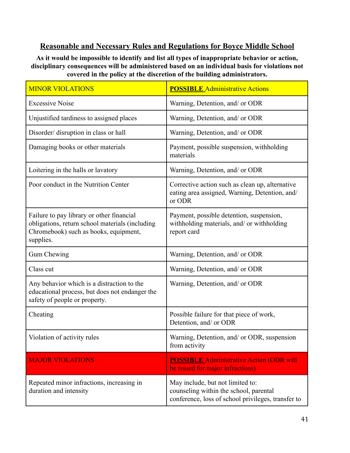## **Reasonable and Necessary Rules and Regulations for Boyce Middle School**

**As it would be impossible to identify and list all types of inappropriate behavior or action, disciplinary consequences will be administered based on an individual basis for violations not covered in the policy at the discretion of the building administrators.**

| <b>MINOR VIOLATIONS</b>                                                                                                                            | <b>POSSIBLE Administrative Actions</b>                                                                                           |
|----------------------------------------------------------------------------------------------------------------------------------------------------|----------------------------------------------------------------------------------------------------------------------------------|
| <b>Excessive Noise</b>                                                                                                                             | Warning, Detention, and/ or ODR                                                                                                  |
| Unjustified tardiness to assigned places                                                                                                           | Warning, Detention, and/ or ODR                                                                                                  |
| Disorder/ disruption in class or hall                                                                                                              | Warning, Detention, and/ or ODR                                                                                                  |
| Damaging books or other materials                                                                                                                  | Payment, possible suspension, withholding<br>materials                                                                           |
| Loitering in the halls or lavatory                                                                                                                 | Warning, Detention, and/ or ODR                                                                                                  |
| Poor conduct in the Nutrition Center                                                                                                               | Corrective action such as clean up, alternative<br>eating area assigned, Warning, Detention, and/<br>or ODR                      |
| Failure to pay library or other financial<br>obligations, return school materials (including<br>Chromebook) such as books, equipment,<br>supplies. | Payment, possible detention, suspension,<br>withholding materials, and/ or withholding<br>report card                            |
| Gum Chewing                                                                                                                                        | Warning, Detention, and/ or ODR                                                                                                  |
| Class cut                                                                                                                                          | Warning, Detention, and/ or ODR                                                                                                  |
| Any behavior which is a distraction to the<br>educational process, but does not endanger the<br>safety of people or property.                      | Warning, Detention, and/ or ODR                                                                                                  |
| Cheating                                                                                                                                           | Possible failure for that piece of work,<br>Detention, and/ or ODR                                                               |
| Violation of activity rules                                                                                                                        | Warning, Detention, and/ or ODR, suspension<br>from activity                                                                     |
| <b>MAJOR VIOLATIONS</b>                                                                                                                            | <b>POSSIBLE Administrative Action (ODR will</b><br>be issued for major infractions)                                              |
| Repeated minor infractions, increasing in<br>duration and intensity                                                                                | May include, but not limited to:<br>counseling within the school, parental<br>conference, loss of school privileges, transfer to |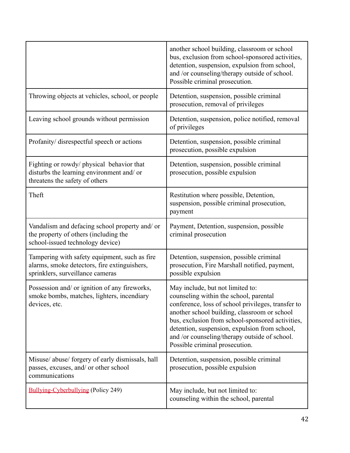|                                                                                                                                   | another school building, classroom or school<br>bus, exclusion from school-sponsored activities,<br>detention, suspension, expulsion from school,<br>and /or counseling/therapy outside of school.<br>Possible criminal prosecution.                                                                                                                                     |
|-----------------------------------------------------------------------------------------------------------------------------------|--------------------------------------------------------------------------------------------------------------------------------------------------------------------------------------------------------------------------------------------------------------------------------------------------------------------------------------------------------------------------|
| Throwing objects at vehicles, school, or people                                                                                   | Detention, suspension, possible criminal<br>prosecution, removal of privileges                                                                                                                                                                                                                                                                                           |
| Leaving school grounds without permission                                                                                         | Detention, suspension, police notified, removal<br>of privileges                                                                                                                                                                                                                                                                                                         |
| Profanity/ disrespectful speech or actions                                                                                        | Detention, suspension, possible criminal<br>prosecution, possible expulsion                                                                                                                                                                                                                                                                                              |
| Fighting or rowdy/ physical behavior that<br>disturbs the learning environment and/ or<br>threatens the safety of others          | Detention, suspension, possible criminal<br>prosecution, possible expulsion                                                                                                                                                                                                                                                                                              |
| Theft                                                                                                                             | Restitution where possible, Detention,<br>suspension, possible criminal prosecution,<br>payment                                                                                                                                                                                                                                                                          |
| Vandalism and defacing school property and/ or<br>the property of others (including the<br>school-issued technology device)       | Payment, Detention, suspension, possible<br>criminal prosecution                                                                                                                                                                                                                                                                                                         |
| Tampering with safety equipment, such as fire<br>alarms, smoke detectors, fire extinguishers,<br>sprinklers, surveillance cameras | Detention, suspension, possible criminal<br>prosecution, Fire Marshall notified, payment,<br>possible expulsion                                                                                                                                                                                                                                                          |
| Possession and/ or ignition of any fireworks,<br>smoke bombs, matches, lighters, incendiary<br>devices, etc.                      | May include, but not limited to:<br>counseling within the school, parental<br>conference, loss of school privileges, transfer to<br>another school building, classroom or school<br>bus, exclusion from school-sponsored activities,<br>detention, suspension, expulsion from school,<br>and /or counseling/therapy outside of school.<br>Possible criminal prosecution. |
| Misuse/ abuse/ forgery of early dismissals, hall<br>passes, excuses, and/ or other school<br>communications                       | Detention, suspension, possible criminal<br>prosecution, possible expulsion                                                                                                                                                                                                                                                                                              |
| <b>Bullying-Cyberbullying (Policy 249)</b>                                                                                        | May include, but not limited to:<br>counseling within the school, parental                                                                                                                                                                                                                                                                                               |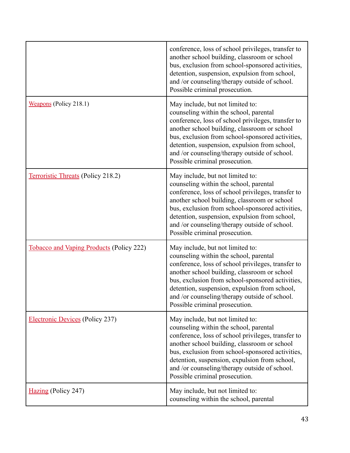|                                                 | conference, loss of school privileges, transfer to<br>another school building, classroom or school<br>bus, exclusion from school-sponsored activities,<br>detention, suspension, expulsion from school,<br>and /or counseling/therapy outside of school.<br>Possible criminal prosecution.                                                                               |
|-------------------------------------------------|--------------------------------------------------------------------------------------------------------------------------------------------------------------------------------------------------------------------------------------------------------------------------------------------------------------------------------------------------------------------------|
| Weapons (Policy 218.1)                          | May include, but not limited to:<br>counseling within the school, parental<br>conference, loss of school privileges, transfer to<br>another school building, classroom or school<br>bus, exclusion from school-sponsored activities,<br>detention, suspension, expulsion from school,<br>and /or counseling/therapy outside of school.<br>Possible criminal prosecution. |
| Terroristic Threats (Policy 218.2)              | May include, but not limited to:<br>counseling within the school, parental<br>conference, loss of school privileges, transfer to<br>another school building, classroom or school<br>bus, exclusion from school-sponsored activities,<br>detention, suspension, expulsion from school,<br>and /or counseling/therapy outside of school.<br>Possible criminal prosecution. |
| <b>Tobacco and Vaping Products (Policy 222)</b> | May include, but not limited to:<br>counseling within the school, parental<br>conference, loss of school privileges, transfer to<br>another school building, classroom or school<br>bus, exclusion from school-sponsored activities,<br>detention, suspension, expulsion from school,<br>and /or counseling/therapy outside of school.<br>Possible criminal prosecution. |
| <b>Electronic Devices</b> (Policy 237)          | May include, but not limited to:<br>counseling within the school, parental<br>conference, loss of school privileges, transfer to<br>another school building, classroom or school<br>bus, exclusion from school-sponsored activities,<br>detention, suspension, expulsion from school,<br>and /or counseling/therapy outside of school.<br>Possible criminal prosecution. |
| Hazing (Policy 247)                             | May include, but not limited to:<br>counseling within the school, parental                                                                                                                                                                                                                                                                                               |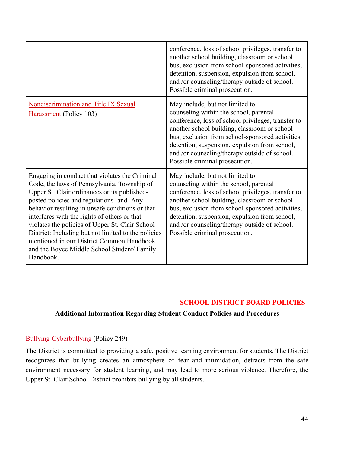|                                                                                                                                                                                                                                                                                                                                                                                                                                                                                                                  | conference, loss of school privileges, transfer to<br>another school building, classroom or school<br>bus, exclusion from school-sponsored activities,<br>detention, suspension, expulsion from school,<br>and /or counseling/therapy outside of school.<br>Possible criminal prosecution.                                                                               |
|------------------------------------------------------------------------------------------------------------------------------------------------------------------------------------------------------------------------------------------------------------------------------------------------------------------------------------------------------------------------------------------------------------------------------------------------------------------------------------------------------------------|--------------------------------------------------------------------------------------------------------------------------------------------------------------------------------------------------------------------------------------------------------------------------------------------------------------------------------------------------------------------------|
| <b>Nondiscrimination and Title IX Sexual</b><br>Harassment (Policy 103)                                                                                                                                                                                                                                                                                                                                                                                                                                          | May include, but not limited to:<br>counseling within the school, parental<br>conference, loss of school privileges, transfer to<br>another school building, classroom or school<br>bus, exclusion from school-sponsored activities,<br>detention, suspension, expulsion from school,<br>and /or counseling/therapy outside of school.<br>Possible criminal prosecution. |
| Engaging in conduct that violates the Criminal<br>Code, the laws of Pennsylvania, Township of<br>Upper St. Clair ordinances or its published-<br>posted policies and regulations- and- Any<br>behavior resulting in unsafe conditions or that<br>interferes with the rights of others or that<br>violates the policies of Upper St. Clair School<br>District: Including but not limited to the policies<br>mentioned in our District Common Handbook<br>and the Boyce Middle School Student/ Family<br>Handbook. | May include, but not limited to:<br>counseling within the school, parental<br>conference, loss of school privileges, transfer to<br>another school building, classroom or school<br>bus, exclusion from school-sponsored activities,<br>detention, suspension, expulsion from school,<br>and /or counseling/therapy outside of school.<br>Possible criminal prosecution. |

#### **\_\_\_\_\_\_\_\_\_\_\_\_\_\_\_\_\_\_\_\_\_\_\_\_\_\_\_\_\_\_\_\_\_\_\_\_\_\_\_\_\_\_\_\_\_SCHOOL DISTRICT BOARD POLICIES**

#### **Additional Information Regarding Student Conduct Policies and Procedures**

#### [Bullying-Cyberbullying](https://www.uscsd.k12.pa.us/cms/lib/PA01000033/Centricity/Domain/17/249%20-%20Bullying-Cyberbullying.pdf) (Policy 249)

The District is committed to providing a safe, positive learning environment for students. The District recognizes that bullying creates an atmosphere of fear and intimidation, detracts from the safe environment necessary for student learning, and may lead to more serious violence. Therefore, the Upper St. Clair School District prohibits bullying by all students.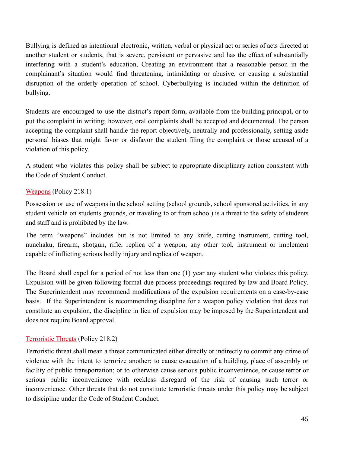Bullying is defined as intentional electronic, written, verbal or physical act or series of acts directed at another student or students, that is severe, persistent or pervasive and has the effect of substantially interfering with a student's education, Creating an environment that a reasonable person in the complainant's situation would find threatening, intimidating or abusive, or causing a substantial disruption of the orderly operation of school. Cyberbullying is included within the definition of bullying.

Students are encouraged to use the district's report form, available from the building principal, or to put the complaint in writing; however, oral complaints shall be accepted and documented. The person accepting the complaint shall handle the report objectively, neutrally and professionally, setting aside personal biases that might favor or disfavor the student filing the complaint or those accused of a violation of this policy.

A student who violates this policy shall be subject to appropriate disciplinary action consistent with the Code of Student Conduct.

## [Weapons](https://www.uscsd.k12.pa.us/cms/lib/PA01000033/Centricity/Domain/17/218.1%20-%20Weapons.pdf) (Policy 218.1)

Possession or use of weapons in the school setting (school grounds, school sponsored activities, in any student vehicle on students grounds, or traveling to or from school) is a threat to the safety of students and staff and is prohibited by the law.

The term "weapons" includes but is not limited to any knife, cutting instrument, cutting tool, nunchaku, firearm, shotgun, rifle, replica of a weapon, any other tool, instrument or implement capable of inflicting serious bodily injury and replica of weapon.

The Board shall expel for a period of not less than one (1) year any student who violates this policy. Expulsion will be given following formal due process proceedings required by law and Board Policy. The Superintendent may recommend modifications of the expulsion requirements on a case-by-case basis. If the Superintendent is recommending discipline for a weapon policy violation that does not constitute an expulsion, the discipline in lieu of expulsion may be imposed by the Superintendent and does not require Board approval.

#### [Terroristic Threats](https://www.uscsd.k12.pa.us/cms/lib/PA01000033/Centricity/Domain/17/218.2%20-%20Terroristic%20Threats.pdf) (Policy 218.2)

Terroristic threat shall mean a threat communicated either directly or indirectly to commit any crime of violence with the intent to terrorize another; to cause evacuation of a building, place of assembly or facility of public transportation; or to otherwise cause serious public inconvenience, or cause terror or serious public inconvenience with reckless disregard of the risk of causing such terror or inconvenience. Other threats that do not constitute terroristic threats under this policy may be subject to discipline under the Code of Student Conduct.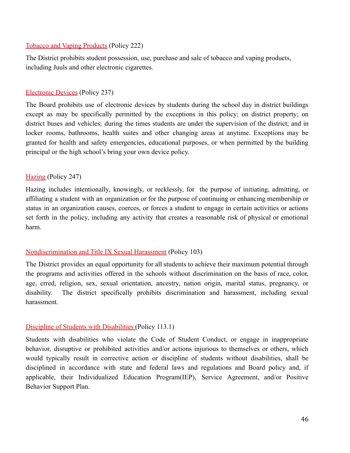#### [Tobacco and Vaping Products](https://www.uscsd.k12.pa.us/cms/lib/PA01000033/Centricity/Domain/17/222%20-%20Tobacco%20and%20Vaping%20Products.pdf) (Policy 222)

The District prohibits student possession, use, purchase and sale of tobacco and vaping products, including Juuls and other electronic cigarettes.

## [Electronic Devices](https://www.uscsd.k12.pa.us/cms/lib/PA01000033/Centricity/Domain/17/237%20-%20Electronic%20Devices.pdf) (Policy 237)

The Board prohibits use of electronic devices by students during the school day in district buildings except as may be specifically permitted by the exceptions in this policy; on district property; on district buses and vehicles; during the times students are under the supervision of the district; and in locker rooms, bathrooms, health suites and other changing areas at anytime. Exceptions may be granted for health and safety emergencies, educational purposes, or when permitted by the building principal or the high school's bring your own device policy.

## [Hazing](https://www.uscsd.k12.pa.us/cms/lib/PA01000033/Centricity/Domain/17/247%20-%20Hazing.pdf) (Policy 247)

Hazing includes intentionally, knowingly, or recklessly, for the purpose of initiating, admitting, or affiliating a student with an organization or for the purpose of continuing or enhancing membership or status in an organization causes, coerces, or forces a student to engage in certain activities or actions set forth in the policy, including any activity that creates a reasonable risk of physical or emotional harm.

## [Nondiscrimination and Title IX Sexual Harassment](https://www.uscsd.k12.pa.us/cms/lib/PA01000033/Centricity/Domain/17/103%20-%20Discrimination-Title%20IX%20Sexual%20Harassment%20Affecting%20Students.pdf) (Policy 103)

The District provides an equal opportunity for all students to achieve their maximum potential through the programs and activities offered in the schools without discrimination on the basis of race, color, age, crred, religion, sex, sexual orientation, ancestry, nation origin, marital status, pregnancy, or disability. The district specifically prohibits discrimination and harassment, including sexual harassment.

#### [Discipline of Students with Disabilities](https://www.uscsd.k12.pa.us/cms/lib/PA01000033/Centricity/Domain/17/113.1%20-%20Discipline%20of%20Students%20with%20Disabilities.pdf) (Policy 113.1)

Students with disabilities who violate the Code of Student Conduct, or engage in inappropriate behavior, disruptive or prohibited activities and/or actions injurious to themselves or others, which would typically result in corrective action or discipline of students without disabilities, shall be disciplined in accordance with state and federal laws and regulations and Board policy and, if applicable, their Individualized Education Program(IEP), Service Agreement, and/or Positive Behavior Support Plan.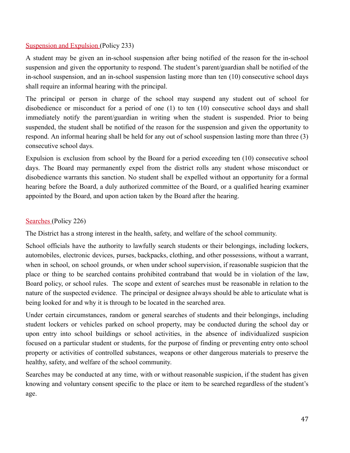## [Suspension and Expulsion](https://www.uscsd.k12.pa.us/cms/lib/PA01000033/Centricity/Domain/17/233%20-%20Suspension%20and%20Expulsion.pdf) (Policy 233)

A student may be given an in-school suspension after being notified of the reason for the in-school suspension and given the opportunity to respond. The student's parent/guardian shall be notified of the in-school suspension, and an in-school suspension lasting more than ten (10) consecutive school days shall require an informal hearing with the principal.

The principal or person in charge of the school may suspend any student out of school for disobedience or misconduct for a period of one (1) to ten (10) consecutive school days and shall immediately notify the parent/guardian in writing when the student is suspended. Prior to being suspended, the student shall be notified of the reason for the suspension and given the opportunity to respond. An informal hearing shall be held for any out of school suspension lasting more than three (3) consecutive school days.

Expulsion is exclusion from school by the Board for a period exceeding ten (10) consecutive school days. The Board may permanently expel from the district rolls any student whose misconduct or disobedience warrants this sanction. No student shall be expelled without an opportunity for a formal hearing before the Board, a duly authorized committee of the Board, or a qualified hearing examiner appointed by the Board, and upon action taken by the Board after the hearing.

## [Searches](https://www.uscsd.k12.pa.us/cms/lib/PA01000033/Centricity/Domain/17/226%20-%20Searches.pdf) (Policy 226)

The District has a strong interest in the health, safety, and welfare of the school community.

School officials have the authority to lawfully search students or their belongings, including lockers, automobiles, electronic devices, purses, backpacks, clothing, and other possessions, without a warrant, when in school, on school grounds, or when under school supervision, if reasonable suspicion that the place or thing to be searched contains prohibited contraband that would be in violation of the law, Board policy, or school rules. The scope and extent of searches must be reasonable in relation to the nature of the suspected evidence. The principal or designee always should be able to articulate what is being looked for and why it is through to be located in the searched area.

Under certain circumstances, random or general searches of students and their belongings, including student lockers or vehicles parked on school property, may be conducted during the school day or upon entry into school buildings or school activities, in the absence of individualized suspicion focused on a particular student or students, for the purpose of finding or preventing entry onto school property or activities of controlled substances, weapons or other dangerous materials to preserve the healthy, safety, and welfare of the school community.

Searches may be conducted at any time, with or without reasonable suspicion, if the student has given knowing and voluntary consent specific to the place or item to be searched regardless of the student's age.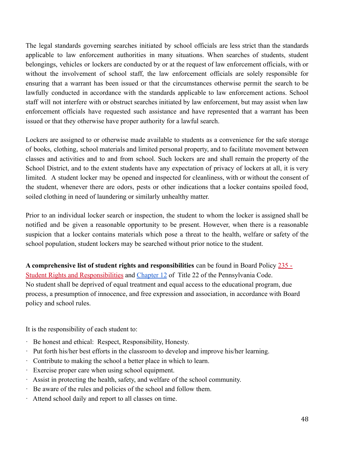The legal standards governing searches initiated by school officials are less strict than the standards applicable to law enforcement authorities in many situations. When searches of students, student belongings, vehicles or lockers are conducted by or at the request of law enforcement officials, with or without the involvement of school staff, the law enforcement officials are solely responsible for ensuring that a warrant has been issued or that the circumstances otherwise permit the search to be lawfully conducted in accordance with the standards applicable to law enforcement actions. School staff will not interfere with or obstruct searches initiated by law enforcement, but may assist when law enforcement officials have requested such assistance and have represented that a warrant has been issued or that they otherwise have proper authority for a lawful search.

Lockers are assigned to or otherwise made available to students as a convenience for the safe storage of books, clothing, school materials and limited personal property, and to facilitate movement between classes and activities and to and from school. Such lockers are and shall remain the property of the School District, and to the extent students have any expectation of privacy of lockers at all, it is very limited. A student locker may be opened and inspected for cleanliness, with or without the consent of the student, whenever there are odors, pests or other indications that a locker contains spoiled food, soiled clothing in need of laundering or similarly unhealthy matter.

Prior to an individual locker search or inspection, the student to whom the locker is assigned shall be notified and be given a reasonable opportunity to be present. However, when there is a reasonable suspicion that a locker contains materials which pose a threat to the health, welfare or safety of the school population, student lockers may be searched without prior notice to the student.

**A comprehensive list of student rights and responsibilities** can be found in Board Policy [235 -](https://www.uscsd.k12.pa.us/cms/lib/PA01000033/Centricity/Domain/17/235%20-%20Student%20Rights%20and%20Responsibilities.pdf) [Student Rights and Responsibilities](https://www.uscsd.k12.pa.us/cms/lib/PA01000033/Centricity/Domain/17/235%20-%20Student%20Rights%20and%20Responsibilities.pdf) and [Chapter 12](http://www.pacodeandbulletin.gov/Display/pacode?file=/secure/pacode/data/022/chapter12/chap12toc.html&d=) of Title 22 of the Pennsylvania Code. No student shall be deprived of equal treatment and equal access to the educational program, due process, a presumption of innocence, and free expression and association, in accordance with Board policy and school rules.

It is the responsibility of each student to:

- · Be honest and ethical: Respect, Responsibility, Honesty.
- · Put forth his/her best efforts in the classroom to develop and improve his/her learning.
- · Contribute to making the school a better place in which to learn.
- Exercise proper care when using school equipment.
- · Assist in protecting the health, safety, and welfare of the school community.
- · Be aware of the rules and policies of the school and follow them.
- Attend school daily and report to all classes on time.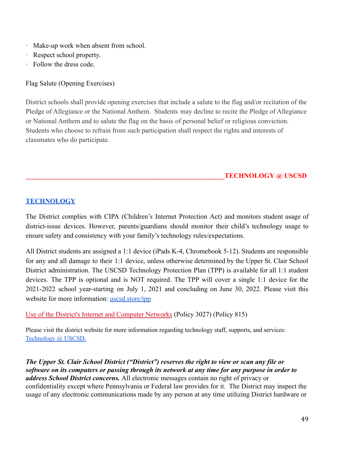- · Make-up work when absent from school.
- Respect school property.
- · Follow the dress code.

Flag Salute (Opening Exercises)

District schools shall provide opening exercises that include a salute to the flag and/or recitation of the Pledge of Allegiance or the National Anthem. Students may decline to recite the Pledge of Allegiance or National Anthem and to salute the flag on the basis of personal belief or religious conviction. Students who choose to refrain from such participation shall respect the rights and interests of classmates who do participate.

**\_\_\_\_\_\_\_\_\_\_\_\_\_\_\_\_\_\_\_\_\_\_\_\_\_\_\_\_\_\_\_\_\_\_\_\_\_\_\_\_\_\_\_\_\_\_\_\_\_\_\_\_\_\_\_\_\_\_TECHNOLOGY @ USCSD**

## **[TECHNOLOGY](https://www.uscsd.k12.pa.us/Domain/870)**

The District complies with CIPA (Children's Internet Protection Act) and monitors student usage of district-issue devices. However, parents/guardians should monitor their child's technology usage to ensure safety and consistency with your family's technology rules/expectations.

All District students are assigned a 1:1 device (iPads K-4, Chromebook 5-12). Students are responsible for any and all damage to their 1:1 device, unless otherwise determined by the Upper St. Clair School District administration. The USCSD Technology Protection Plan (TPP) is available for all 1:1 student devices. The TPP is optional and is NOT required. The TPP will cover a single 1:1 device for the 2021-2022 school year-starting on July 1, 2021 and concluding on June 30, 2022. Please visit this website for more information: [uscsd.store/tpp](http://uscsd.store/tpp)

[Use of the District's Internet and Computer Networks](https://www.uscsd.k12.pa.us/cms/lib/PA01000033/Centricity/Domain/17/3027-UseOfTheDistrictInternetAndComputerNetworks.pdf) (Policy 3027) (Policy 815)

Please visit the district website for more information regarding technology staff, supports, and services: [Technology](https://www.uscsd.k12.pa.us/Domain/870) @ USCSD.

*The Upper St. Clair School District ("District") reserves the right to view or scan any file or software on its computers or passing through its network at any time for any purpose in order to address School District concerns.* All electronic messages contain no right of privacy or confidentiality except where Pennsylvania or Federal law provides for it. The District may inspect the usage of any electronic communications made by any person at any time utilizing District hardware or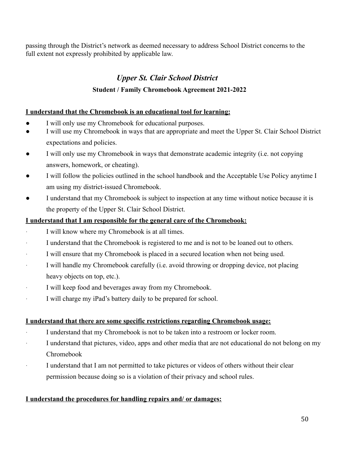passing through the District's network as deemed necessary to address School District concerns to the full extent not expressly prohibited by applicable law.

## *Upper St. Clair School District*

## **Student / Family Chromebook Agreement 2021-2022**

## **I understand that the Chromebook is an educational tool for learning:**

- I will only use my Chromebook for educational purposes.
- I will use my Chromebook in ways that are appropriate and meet the Upper St. Clair School District expectations and policies.
- I will only use my Chromebook in ways that demonstrate academic integrity (i.e. not copying answers, homework, or cheating).
- I will follow the policies outlined in the school handbook and the Acceptable Use Policy anytime I am using my district-issued Chromebook.
- I understand that my Chromebook is subject to inspection at any time without notice because it is the property of the Upper St. Clair School District.

## **I understand that I am responsible for the general care of the Chromebook:**

- I will know where my Chromebook is at all times.
- I understand that the Chromebook is registered to me and is not to be loaned out to others.
- I will ensure that my Chromebook is placed in a secured location when not being used.
- · I will handle my Chromebook carefully (i.e. avoid throwing or dropping device, not placing heavy objects on top, etc.).
- I will keep food and beverages away from my Chromebook.
- I will charge my iPad's battery daily to be prepared for school.

#### **I understand that there are some specific restrictions regarding Chromebook usage:**

- I understand that my Chromebook is not to be taken into a restroom or locker room.
- I understand that pictures, video, apps and other media that are not educational do not belong on my Chromebook
- · I understand that I am not permitted to take pictures or videos of others without their clear permission because doing so is a violation of their privacy and school rules.

#### **I understand the procedures for handling repairs and/ or damages:**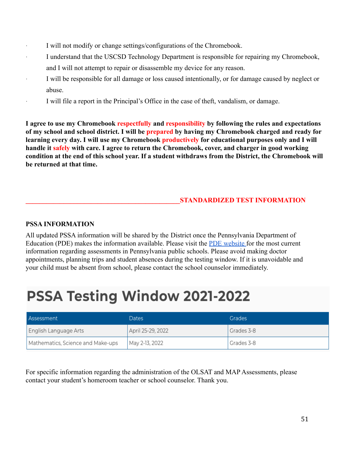- I will not modify or change settings/configurations of the Chromebook.
- I understand that the USCSD Technology Department is responsible for repairing my Chromebook, and I will not attempt to repair or disassemble my device for any reason.
- · I will be responsible for all damage or loss caused intentionally, or for damage caused by neglect or abuse.
- · I will file a report in the Principal's Office in the case of theft, vandalism, or damage.

**I agree to use my Chromebook respectfully and responsibility by following the rules and expectations of my school and school district. I will be prepared by having my Chromebook charged and ready for learning every day. I will use my Chromebook productively for educational purposes only and I will handle it safely with care. I agree to return the Chromebook, cover, and charger in good working condition at the end of this school year. If a student withdraws from the District, the Chromebook will be returned at that time.**

## **\_\_\_\_\_\_\_\_\_\_\_\_\_\_\_\_\_\_\_\_\_\_\_\_\_\_\_\_\_\_\_\_\_\_\_\_\_\_\_\_\_\_\_\_\_STANDARDIZED TEST INFORMATION**

## **PSSA INFORMATION**

All updated PSSA information will be shared by the District once the Pennsylvania Department of Education (PDE) makes the information available. Please visit the [PDE website](https://www.education.pa.gov/K-12/Assessment%20and%20Accountability/PSSA/Pages/default.aspx) for the most current information regarding assessments in Pennsylvania public schools. Please avoid making doctor appointments, planning trips and student absences during the testing window. If it is unavoidable and your child must be absent from school, please contact the school counselor immediately.

## **PSSA Testing Window 2021-2022**

| Assessment                        | Dates             | <b>Grades</b> |
|-----------------------------------|-------------------|---------------|
| English Language Arts             | April 25-29, 2022 | Grades 3-8    |
| Mathematics, Science and Make-ups | May 2-13, 2022    | Grades 3-8    |

For specific information regarding the administration of the OLSAT and MAP Assessments, please contact your student's homeroom teacher or school counselor. Thank you.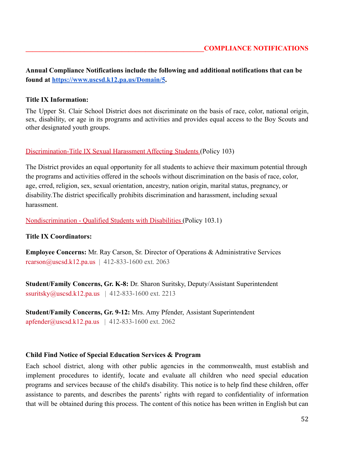**Annual Compliance Notifications include the following and additional notifications that can be found at <https://www.uscsd.k12.pa.us/Domain/5>.**

#### **Title IX Information:**

The Upper St. Clair School District does not discriminate on the basis of race, color, national origin, sex, disability, or age in its programs and activities and provides equal access to the Boy Scouts and other designated youth groups.

#### [Discrimination-Title IX Sexual Harassment Affecting](https://www.uscsd.k12.pa.us/cms/lib/PA01000033/Centricity/Domain/17/103%20-%20Discrimination-Title%20IX%20Sexual%20Harassment%20Affecting%20Students.pdf) Students (Policy 103)

The District provides an equal opportunity for all students to achieve their maximum potential through the programs and activities offered in the schools without discrimination on the basis of race, color, age, crred, religion, sex, sexual orientation, ancestry, nation origin, marital status, pregnancy, or disability.The district specifically prohibits discrimination and harassment, including sexual harassment.

[Nondiscrimination - Qualified Students with Disabilities](https://www.uscsd.k12.pa.us/cms/lib/PA01000033/Centricity/Domain/17/103.1%20-%20Nondiscrimination%20-%20Qualified%20Students%20with%20Disabilities.pdf) (Policy 103.1)

#### **Title IX Coordinators:**

**Employee Concerns:** Mr. Ray Carson, Sr. Director of Operations & Administrative Services  $rcarson@uscsd.k12.pa.us$  | 412-833-1600 ext. 2063

**Student/Family Concerns, Gr. K-8:** Dr. Sharon Suritsky, Deputy/Assistant Superintendent ssuritsky@uscsd.k12.pa.us | 412-833-1600 ext. 2213

**Student/Family Concerns, Gr. 9-12:** Mrs. Amy Pfender, Assistant Superintendent  $arfender@usesd.k12pa.us$  | 412-833-1600 ext. 2062

#### **Child Find Notice of Special Education Services & Program**

Each school district, along with other public agencies in the commonwealth, must establish and implement procedures to identify, locate and evaluate all children who need special education programs and services because of the child's disability. This notice is to help find these children, offer assistance to parents, and describes the parents' rights with regard to confidentiality of information that will be obtained during this process. The content of this notice has been written in English but can